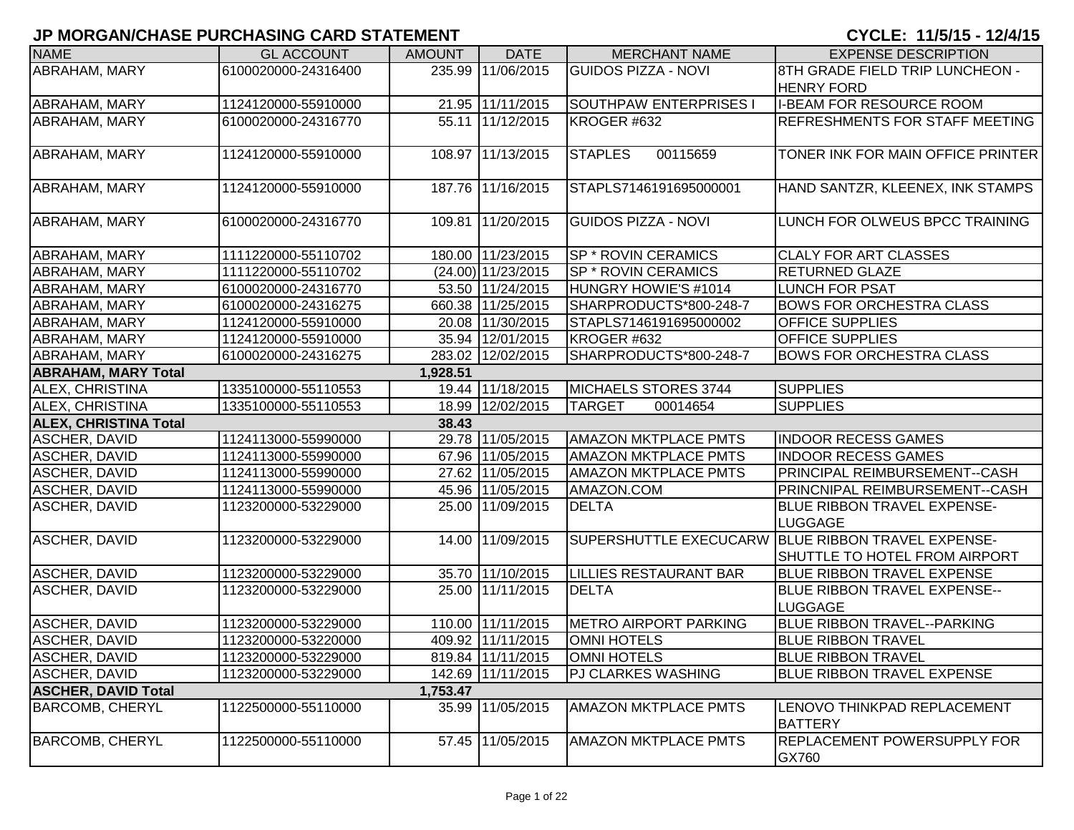| <b>NAME</b>                  | <b>GL ACCOUNT</b>   | <b>AMOUNT</b> | <b>DATE</b>          | <b>MERCHANT NAME</b>          | <b>EXPENSE DESCRIPTION</b>                                                          |
|------------------------------|---------------------|---------------|----------------------|-------------------------------|-------------------------------------------------------------------------------------|
| <b>ABRAHAM, MARY</b>         | 6100020000-24316400 |               | 235.99 11/06/2015    | <b>GUIDOS PIZZA - NOVI</b>    | 8TH GRADE FIELD TRIP LUNCHEON -<br><b>HENRY FORD</b>                                |
| ABRAHAM, MARY                | 1124120000-55910000 |               | 21.95 11/11/2015     | <b>SOUTHPAW ENTERPRISES I</b> | <b>I-BEAM FOR RESOURCE ROOM</b>                                                     |
| <b>ABRAHAM, MARY</b>         | 6100020000-24316770 |               | 55.11 11/12/2015     | KROGER #632                   | <b>REFRESHMENTS FOR STAFF MEETING</b>                                               |
| <b>ABRAHAM, MARY</b>         | 1124120000-55910000 |               | 108.97 11/13/2015    | <b>STAPLES</b><br>00115659    | TONER INK FOR MAIN OFFICE PRINTER                                                   |
| ABRAHAM, MARY                | 1124120000-55910000 |               | 187.76 11/16/2015    | STAPLS7146191695000001        | HAND SANTZR, KLEENEX, INK STAMPS                                                    |
| ABRAHAM, MARY                | 6100020000-24316770 |               | 109.81 11/20/2015    | <b>GUIDOS PIZZA - NOVI</b>    | LUNCH FOR OLWEUS BPCC TRAINING                                                      |
| ABRAHAM, MARY                | 1111220000-55110702 |               | 180.00 11/23/2015    | SP * ROVIN CERAMICS           | <b>CLALY FOR ART CLASSES</b>                                                        |
| ABRAHAM, MARY                | 1111220000-55110702 |               | $(24.00)$ 11/23/2015 | SP * ROVIN CERAMICS           | <b>RETURNED GLAZE</b>                                                               |
| ABRAHAM, MARY                | 6100020000-24316770 |               | 53.50 11/24/2015     | HUNGRY HOWIE'S #1014          | <b>LUNCH FOR PSAT</b>                                                               |
| ABRAHAM, MARY                | 6100020000-24316275 |               | 660.38 11/25/2015    | SHARPRODUCTS*800-248-7        | <b>BOWS FOR ORCHESTRA CLASS</b>                                                     |
| <b>ABRAHAM, MARY</b>         | 1124120000-55910000 |               | 20.08 11/30/2015     | STAPLS7146191695000002        | <b>OFFICE SUPPLIES</b>                                                              |
| <b>ABRAHAM, MARY</b>         | 1124120000-55910000 |               | 35.94 12/01/2015     | KROGER #632                   | <b>OFFICE SUPPLIES</b>                                                              |
| <b>ABRAHAM, MARY</b>         | 6100020000-24316275 |               | 283.02 12/02/2015    | SHARPRODUCTS*800-248-7        | <b>BOWS FOR ORCHESTRA CLASS</b>                                                     |
| <b>ABRAHAM, MARY Total</b>   |                     | 1,928.51      |                      |                               |                                                                                     |
| ALEX, CHRISTINA              | 1335100000-55110553 |               | 19.44 11/18/2015     | MICHAELS STORES 3744          | <b>SUPPLIES</b>                                                                     |
| ALEX, CHRISTINA              | 1335100000-55110553 |               | 18.99 12/02/2015     | <b>TARGET</b><br>00014654     | <b>SUPPLIES</b>                                                                     |
| <b>ALEX, CHRISTINA Total</b> |                     | 38.43         |                      |                               |                                                                                     |
| <b>ASCHER, DAVID</b>         | 1124113000-55990000 |               | 29.78 11/05/2015     | <b>AMAZON MKTPLACE PMTS</b>   | <b>INDOOR RECESS GAMES</b>                                                          |
| <b>ASCHER, DAVID</b>         | 1124113000-55990000 |               | 67.96 11/05/2015     | <b>AMAZON MKTPLACE PMTS</b>   | <b>INDOOR RECESS GAMES</b>                                                          |
| <b>ASCHER, DAVID</b>         | 1124113000-55990000 |               | 27.62 11/05/2015     | <b>AMAZON MKTPLACE PMTS</b>   | PRINCIPAL REIMBURSEMENT--CASH                                                       |
| <b>ASCHER, DAVID</b>         | 1124113000-55990000 |               | 45.96 11/05/2015     | AMAZON.COM                    | PRINCNIPAL REIMBURSEMENT--CASH                                                      |
| <b>ASCHER, DAVID</b>         | 1123200000-53229000 |               | 25.00 11/09/2015     | <b>DELTA</b>                  | <b>BLUE RIBBON TRAVEL EXPENSE-</b><br><b>LUGGAGE</b>                                |
| <b>ASCHER, DAVID</b>         | 1123200000-53229000 |               | 14.00 11/09/2015     |                               | SUPERSHUTTLE EXECUCARW BLUE RIBBON TRAVEL EXPENSE-<br>SHUTTLE TO HOTEL FROM AIRPORT |
| <b>ASCHER, DAVID</b>         | 1123200000-53229000 |               | 35.70 11/10/2015     | <b>LILLIES RESTAURANT BAR</b> | <b>BLUE RIBBON TRAVEL EXPENSE</b>                                                   |
| <b>ASCHER, DAVID</b>         | 1123200000-53229000 |               | 25.00 11/11/2015     | <b>DELTA</b>                  | <b>BLUE RIBBON TRAVEL EXPENSE--</b><br><b>LUGGAGE</b>                               |
| <b>ASCHER, DAVID</b>         | 1123200000-53229000 |               | 110.00 11/11/2015    | <b>METRO AIRPORT PARKING</b>  | <b>BLUE RIBBON TRAVEL--PARKING</b>                                                  |
| <b>ASCHER, DAVID</b>         | 1123200000-53220000 |               | 409.92 11/11/2015    | <b>OMNI HOTELS</b>            | <b>BLUE RIBBON TRAVEL</b>                                                           |
| <b>ASCHER, DAVID</b>         | 1123200000-53229000 |               | 819.84 11/11/2015    | <b>OMNI HOTELS</b>            | <b>BLUE RIBBON TRAVEL</b>                                                           |
| ASCHER, DAVID                | 1123200000-53229000 |               | 142.69 11/11/2015    | PJ CLARKES WASHING            | <b>BLUE RIBBON TRAVEL EXPENSE</b>                                                   |
| <b>ASCHER, DAVID Total</b>   |                     | 1,753.47      |                      |                               |                                                                                     |
| <b>BARCOMB, CHERYL</b>       | 1122500000-55110000 |               | 35.99 11/05/2015     | <b>AMAZON MKTPLACE PMTS</b>   | LENOVO THINKPAD REPLACEMENT<br><b>BATTERY</b>                                       |
| <b>BARCOMB, CHERYL</b>       | 1122500000-55110000 |               | 57.45 11/05/2015     | <b>AMAZON MKTPLACE PMTS</b>   | <b>REPLACEMENT POWERSUPPLY FOR</b><br>GX760                                         |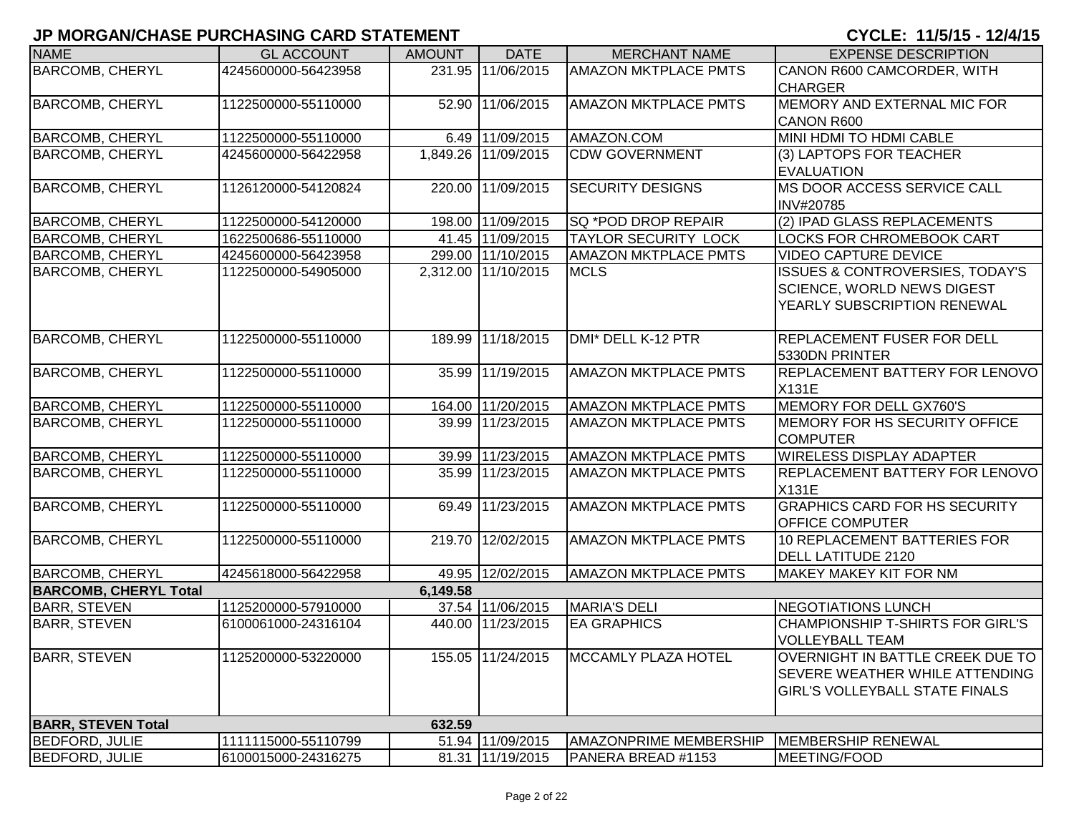# **JP MORGAN/CHASE PURCHASING CARD STATEMENT CYCLE: 11/5/15 - 12/4/15**

| <b>NAME</b>                  | <b>GL ACCOUNT</b>   | <b>AMOUNT</b> | <b>DATE</b>         | <b>MERCHANT NAME</b>        | <b>EXPENSE DESCRIPTION</b>                 |
|------------------------------|---------------------|---------------|---------------------|-----------------------------|--------------------------------------------|
| <b>BARCOMB, CHERYL</b>       | 4245600000-56423958 |               | 231.95 11/06/2015   | <b>AMAZON MKTPLACE PMTS</b> | CANON R600 CAMCORDER, WITH                 |
|                              |                     |               |                     |                             | <b>CHARGER</b>                             |
| <b>BARCOMB, CHERYL</b>       | 1122500000-55110000 |               | 52.90 11/06/2015    | <b>AMAZON MKTPLACE PMTS</b> | MEMORY AND EXTERNAL MIC FOR                |
|                              |                     |               |                     |                             | <b>CANON R600</b>                          |
| <b>BARCOMB, CHERYL</b>       | 1122500000-55110000 |               | 6.49 11/09/2015     | AMAZON.COM                  | MINI HDMI TO HDMI CABLE                    |
| <b>BARCOMB, CHERYL</b>       | 4245600000-56422958 |               | 1,849.26 11/09/2015 | <b>CDW GOVERNMENT</b>       | (3) LAPTOPS FOR TEACHER                    |
|                              |                     |               |                     |                             | <b>EVALUATION</b>                          |
| <b>BARCOMB, CHERYL</b>       | 1126120000-54120824 |               | 220.00 11/09/2015   | <b>SECURITY DESIGNS</b>     | MS DOOR ACCESS SERVICE CALL                |
|                              |                     |               |                     |                             | INV#20785                                  |
| <b>BARCOMB, CHERYL</b>       | 1122500000-54120000 |               | 198.00 11/09/2015   | SQ *POD DROP REPAIR         | (2) IPAD GLASS REPLACEMENTS                |
| <b>BARCOMB, CHERYL</b>       | 1622500686-55110000 |               | 41.45 11/09/2015    | TAYLOR SECURITY LOCK        | LOCKS FOR CHROMEBOOK CART                  |
| <b>BARCOMB, CHERYL</b>       | 4245600000-56423958 |               | 299.00 11/10/2015   | <b>AMAZON MKTPLACE PMTS</b> | <b>VIDEO CAPTURE DEVICE</b>                |
| <b>BARCOMB, CHERYL</b>       | 1122500000-54905000 |               | 2,312.00 11/10/2015 | <b>MCLS</b>                 | <b>ISSUES &amp; CONTROVERSIES, TODAY'S</b> |
|                              |                     |               |                     |                             | <b>SCIENCE, WORLD NEWS DIGEST</b>          |
|                              |                     |               |                     |                             | YEARLY SUBSCRIPTION RENEWAL                |
|                              |                     |               |                     |                             |                                            |
| <b>BARCOMB, CHERYL</b>       | 1122500000-55110000 |               | 189.99 11/18/2015   | DMI* DELL K-12 PTR          | <b>REPLACEMENT FUSER FOR DELL</b>          |
|                              |                     |               |                     |                             | 5330DN PRINTER                             |
| <b>BARCOMB, CHERYL</b>       | 1122500000-55110000 |               | 35.99 11/19/2015    | <b>AMAZON MKTPLACE PMTS</b> | <b>REPLACEMENT BATTERY FOR LENOVO</b>      |
|                              |                     |               |                     |                             | X131E                                      |
| <b>BARCOMB, CHERYL</b>       | 1122500000-55110000 |               | 164.00 11/20/2015   | <b>AMAZON MKTPLACE PMTS</b> | MEMORY FOR DELL GX760'S                    |
| <b>BARCOMB, CHERYL</b>       | 1122500000-55110000 |               | 39.99 11/23/2015    | <b>AMAZON MKTPLACE PMTS</b> | MEMORY FOR HS SECURITY OFFICE              |
|                              |                     |               |                     |                             | <b>COMPUTER</b>                            |
| <b>BARCOMB, CHERYL</b>       | 1122500000-55110000 |               | 39.99 11/23/2015    | <b>AMAZON MKTPLACE PMTS</b> | <b>WIRELESS DISPLAY ADAPTER</b>            |
| <b>BARCOMB, CHERYL</b>       | 1122500000-55110000 |               | 35.99 11/23/2015    | <b>AMAZON MKTPLACE PMTS</b> | <b>REPLACEMENT BATTERY FOR LENOVO</b>      |
|                              |                     |               |                     |                             | X131E                                      |
| <b>BARCOMB, CHERYL</b>       | 1122500000-55110000 |               | 69.49 11/23/2015    | <b>AMAZON MKTPLACE PMTS</b> | <b>GRAPHICS CARD FOR HS SECURITY</b>       |
|                              |                     |               |                     |                             | <b>OFFICE COMPUTER</b>                     |
| <b>BARCOMB, CHERYL</b>       | 1122500000-55110000 |               | 219.70 12/02/2015   | <b>AMAZON MKTPLACE PMTS</b> | 10 REPLACEMENT BATTERIES FOR               |
|                              |                     |               |                     |                             | <b>DELL LATITUDE 2120</b>                  |
| <b>BARCOMB, CHERYL</b>       | 4245618000-56422958 |               | 49.95 12/02/2015    | <b>AMAZON MKTPLACE PMTS</b> | <b>MAKEY MAKEY KIT FOR NM</b>              |
| <b>BARCOMB, CHERYL Total</b> |                     | 6,149.58      |                     |                             |                                            |
| <b>BARR, STEVEN</b>          | 1125200000-57910000 |               | 37.54 11/06/2015    | <b>MARIA'S DELI</b>         | <b>NEGOTIATIONS LUNCH</b>                  |
| <b>BARR, STEVEN</b>          | 6100061000-24316104 |               | 440.00 11/23/2015   | <b>EA GRAPHICS</b>          | CHAMPIONSHIP T-SHIRTS FOR GIRL'S           |
|                              |                     |               |                     |                             | <b>VOLLEYBALL TEAM</b>                     |
| <b>BARR, STEVEN</b>          | 1125200000-53220000 |               | 155.05 11/24/2015   | MCCAMLY PLAZA HOTEL         | <b>OVERNIGHT IN BATTLE CREEK DUE TO</b>    |
|                              |                     |               |                     |                             | <b>SEVERE WEATHER WHILE ATTENDING</b>      |
|                              |                     |               |                     |                             | <b>GIRL'S VOLLEYBALL STATE FINALS</b>      |
|                              |                     |               |                     |                             |                                            |
| <b>BARR, STEVEN Total</b>    |                     | 632.59        |                     |                             |                                            |
| <b>BEDFORD, JULIE</b>        | 1111115000-55110799 |               | 51.94 11/09/2015    | AMAZONPRIME MEMBERSHIP      | MEMBERSHIP RENEWAL                         |
| <b>BEDFORD, JULIE</b>        | 6100015000-24316275 |               | 81.31 11/19/2015    | PANERA BREAD #1153          | MEETING/FOOD                               |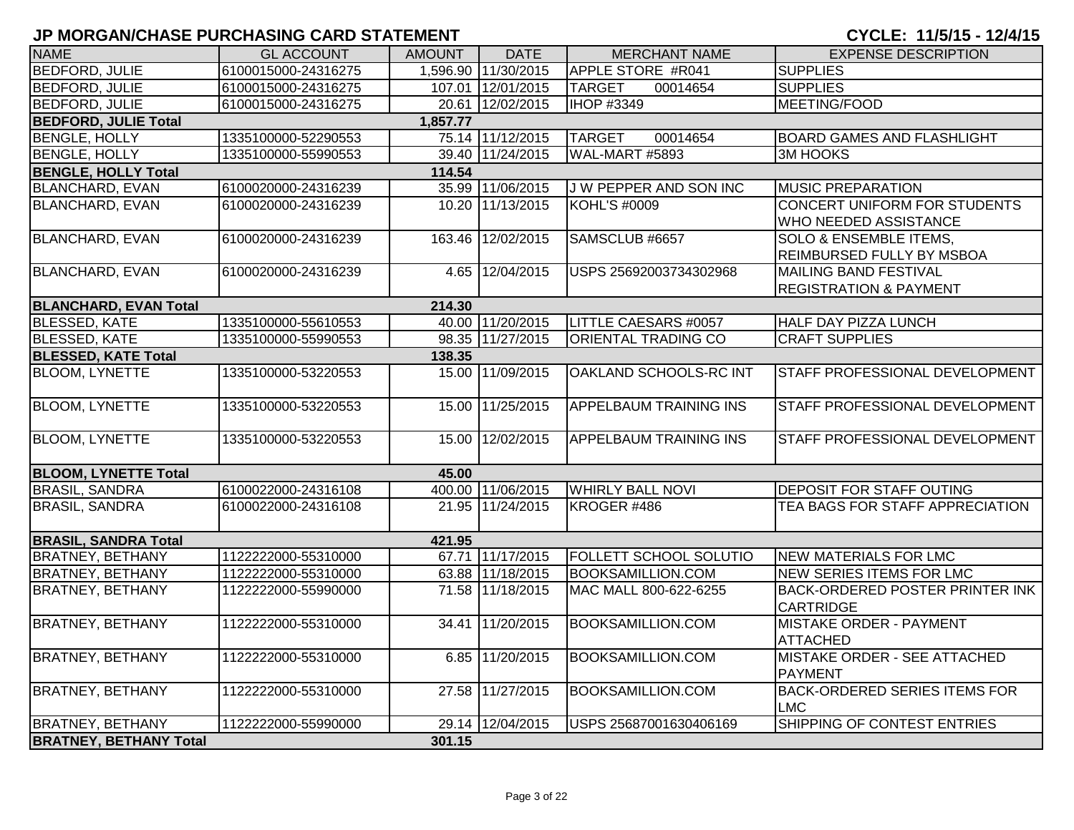| <b>NAME</b>                   | <b>GL ACCOUNT</b>   | <b>AMOUNT</b> | <b>DATE</b>         | <b>MERCHANT NAME</b>          | <b>EXPENSE DESCRIPTION</b>                                     |
|-------------------------------|---------------------|---------------|---------------------|-------------------------------|----------------------------------------------------------------|
| <b>BEDFORD, JULIE</b>         | 6100015000-24316275 |               | 1,596.90 11/30/2015 | APPLE STORE #R041             | <b>SUPPLIES</b>                                                |
| <b>BEDFORD, JULIE</b>         | 6100015000-24316275 |               | 107.01 12/01/2015   | <b>TARGET</b><br>00014654     | <b>SUPPLIES</b>                                                |
| <b>BEDFORD, JULIE</b>         | 6100015000-24316275 |               | 20.61 12/02/2015    | <b>IHOP #3349</b>             | MEETING/FOOD                                                   |
| <b>BEDFORD, JULIE Total</b>   |                     | 1,857.77      |                     |                               |                                                                |
| <b>BENGLE, HOLLY</b>          | 1335100000-52290553 |               | 75.14 11/12/2015    | <b>TARGET</b><br>00014654     | <b>BOARD GAMES AND FLASHLIGHT</b>                              |
| <b>BENGLE, HOLLY</b>          | 1335100000-55990553 |               | 39.40 11/24/2015    | WAL-MART #5893                | <b>3M HOOKS</b>                                                |
| <b>BENGLE, HOLLY Total</b>    |                     | 114.54        |                     |                               |                                                                |
| <b>BLANCHARD, EVAN</b>        | 6100020000-24316239 |               | 35.99 11/06/2015    | J W PEPPER AND SON INC        | <b>MUSIC PREPARATION</b>                                       |
| <b>BLANCHARD, EVAN</b>        | 6100020000-24316239 |               | 10.20 11/13/2015    | <b>KOHL'S #0009</b>           | CONCERT UNIFORM FOR STUDENTS                                   |
|                               |                     |               |                     |                               | <b>WHO NEEDED ASSISTANCE</b>                                   |
| <b>BLANCHARD, EVAN</b>        | 6100020000-24316239 |               | 163.46 12/02/2015   | SAMSCLUB #6657                | <b>SOLO &amp; ENSEMBLE ITEMS,</b><br>REIMBURSED FULLY BY MSBOA |
| <b>BLANCHARD, EVAN</b>        | 6100020000-24316239 |               | 4.65 12/04/2015     | USPS 25692003734302968        | <b>MAILING BAND FESTIVAL</b>                                   |
|                               |                     |               |                     |                               | <b>REGISTRATION &amp; PAYMENT</b>                              |
| <b>BLANCHARD, EVAN Total</b>  |                     | 214.30        |                     |                               |                                                                |
| <b>BLESSED, KATE</b>          | 1335100000-55610553 |               | 40.00 11/20/2015    | LITTLE CAESARS #0057          | <b>HALF DAY PIZZA LUNCH</b>                                    |
| <b>BLESSED, KATE</b>          | 1335100000-55990553 |               | 98.35 11/27/2015    | ORIENTAL TRADING CO           | <b>CRAFT SUPPLIES</b>                                          |
| <b>BLESSED, KATE Total</b>    |                     | 138.35        |                     |                               |                                                                |
| <b>BLOOM, LYNETTE</b>         | 1335100000-53220553 |               | 15.00 11/09/2015    | OAKLAND SCHOOLS-RC INT        | STAFF PROFESSIONAL DEVELOPMENT                                 |
| <b>BLOOM, LYNETTE</b>         | 1335100000-53220553 |               | 15.00 11/25/2015    | <b>APPELBAUM TRAINING INS</b> | STAFF PROFESSIONAL DEVELOPMENT                                 |
| <b>BLOOM, LYNETTE</b>         | 1335100000-53220553 |               | 15.00 12/02/2015    | <b>APPELBAUM TRAINING INS</b> | STAFF PROFESSIONAL DEVELOPMENT                                 |
| <b>BLOOM, LYNETTE Total</b>   |                     | 45.00         |                     |                               |                                                                |
| <b>BRASIL, SANDRA</b>         | 6100022000-24316108 |               | 400.00 11/06/2015   | <b>WHIRLY BALL NOVI</b>       | <b>DEPOSIT FOR STAFF OUTING</b>                                |
| <b>BRASIL, SANDRA</b>         | 6100022000-24316108 |               | 21.95 11/24/2015    | KROGER #486                   | TEA BAGS FOR STAFF APPRECIATION                                |
| <b>BRASIL, SANDRA Total</b>   |                     | 421.95        |                     |                               |                                                                |
| <b>BRATNEY, BETHANY</b>       | 1122222000-55310000 |               | 67.71 11/17/2015    | FOLLETT SCHOOL SOLUTIO        | <b>NEW MATERIALS FOR LMC</b>                                   |
| <b>BRATNEY, BETHANY</b>       | 1122222000-55310000 |               | 63.88 11/18/2015    | <b>BOOKSAMILLION.COM</b>      | NEW SERIES ITEMS FOR LMC                                       |
| <b>BRATNEY, BETHANY</b>       | 1122222000-55990000 |               | 71.58 11/18/2015    | MAC MALL 800-622-6255         | <b>BACK-ORDERED POSTER PRINTER INK</b><br><b>CARTRIDGE</b>     |
| <b>BRATNEY, BETHANY</b>       | 1122222000-55310000 | 34.41         | 11/20/2015          | <b>BOOKSAMILLION.COM</b>      | <b>MISTAKE ORDER - PAYMENT</b><br><b>ATTACHED</b>              |
| <b>BRATNEY, BETHANY</b>       | 1122222000-55310000 |               | 6.85 11/20/2015     | <b>BOOKSAMILLION.COM</b>      | MISTAKE ORDER - SEE ATTACHED<br><b>PAYMENT</b>                 |
| <b>BRATNEY, BETHANY</b>       | 1122222000-55310000 |               | 27.58 11/27/2015    | <b>BOOKSAMILLION.COM</b>      | <b>BACK-ORDERED SERIES ITEMS FOR</b><br><b>LMC</b>             |
| <b>BRATNEY, BETHANY</b>       | 1122222000-55990000 |               | 29.14 12/04/2015    | USPS 25687001630406169        | SHIPPING OF CONTEST ENTRIES                                    |
| <b>BRATNEY, BETHANY Total</b> |                     | 301.15        |                     |                               |                                                                |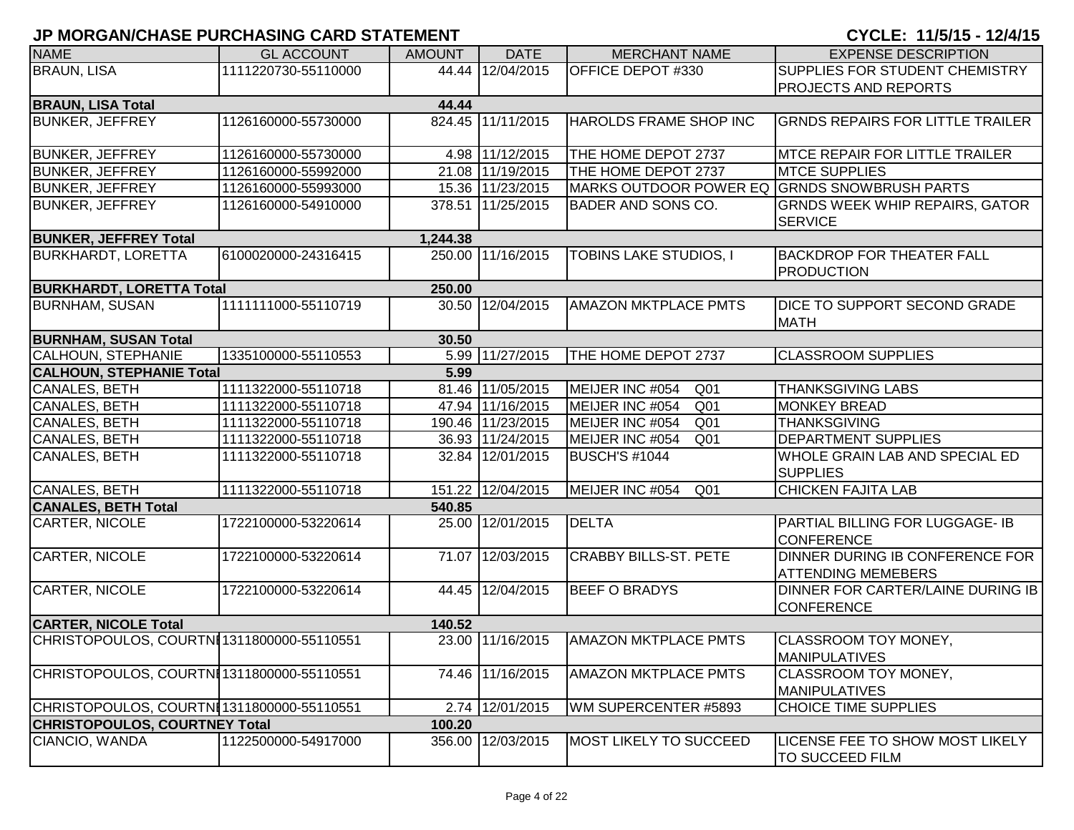| <b>NAME</b>                               | <b>GL ACCOUNT</b>   | <b>AMOUNT</b> | <b>DATE</b>       | <b>MERCHANT NAME</b>                         | <b>EXPENSE DESCRIPTION</b>                                   |
|-------------------------------------------|---------------------|---------------|-------------------|----------------------------------------------|--------------------------------------------------------------|
| <b>BRAUN, LISA</b>                        | 1111220730-55110000 |               | 44.44 12/04/2015  | OFFICE DEPOT #330                            | SUPPLIES FOR STUDENT CHEMISTRY                               |
|                                           |                     |               |                   |                                              | <b>PROJECTS AND REPORTS</b>                                  |
| <b>BRAUN, LISA Total</b>                  |                     | 44.44         |                   |                                              |                                                              |
| <b>BUNKER, JEFFREY</b>                    | 1126160000-55730000 |               | 824.45 11/11/2015 | HAROLDS FRAME SHOP INC                       | <b>GRNDS REPAIRS FOR LITTLE TRAILER</b>                      |
| <b>BUNKER, JEFFREY</b>                    | 1126160000-55730000 |               | 4.98 11/12/2015   | THE HOME DEPOT 2737                          | <b>MTCE REPAIR FOR LITTLE TRAILER</b>                        |
| <b>BUNKER, JEFFREY</b>                    | 1126160000-55992000 |               | 21.08 11/19/2015  | THE HOME DEPOT 2737                          | <b>MTCE SUPPLIES</b>                                         |
| <b>BUNKER, JEFFREY</b>                    | 1126160000-55993000 |               | 15.36 11/23/2015  | MARKS OUTDOOR POWER EQ GRNDS SNOWBRUSH PARTS |                                                              |
| <b>BUNKER, JEFFREY</b>                    | 1126160000-54910000 |               | 378.51 11/25/2015 | BADER AND SONS CO.                           | <b>GRNDS WEEK WHIP REPAIRS, GATOR</b><br><b>SERVICE</b>      |
| <b>BUNKER, JEFFREY Total</b>              |                     | 1,244.38      |                   |                                              |                                                              |
| <b>BURKHARDT, LORETTA</b>                 | 6100020000-24316415 |               | 250.00 11/16/2015 | TOBINS LAKE STUDIOS, I                       | <b>BACKDROP FOR THEATER FALL</b><br><b>PRODUCTION</b>        |
| <b>BURKHARDT, LORETTA Total</b>           |                     | 250.00        |                   |                                              |                                                              |
| <b>BURNHAM, SUSAN</b>                     | 1111111000-55110719 |               | 30.50 12/04/2015  | <b>AMAZON MKTPLACE PMTS</b>                  | <b>DICE TO SUPPORT SECOND GRADE</b><br><b>MATH</b>           |
| <b>BURNHAM, SUSAN Total</b>               |                     | 30.50         |                   |                                              |                                                              |
| <b>CALHOUN, STEPHANIE</b>                 | 1335100000-55110553 |               | 5.99 11/27/2015   | THE HOME DEPOT 2737                          | <b>CLASSROOM SUPPLIES</b>                                    |
| <b>CALHOUN, STEPHANIE Total</b>           |                     | 5.99          |                   |                                              |                                                              |
| CANALES, BETH                             | 1111322000-55110718 |               | 81.46 11/05/2015  | MEIJER INC #054<br>Q <sub>01</sub>           | <b>THANKSGIVING LABS</b>                                     |
| <b>CANALES, BETH</b>                      | 1111322000-55110718 |               | 47.94 11/16/2015  | MEIJER INC #054<br>Q <sub>01</sub>           | <b>MONKEY BREAD</b>                                          |
| CANALES, BETH                             | 1111322000-55110718 |               | 190.46 11/23/2015 | MEIJER INC #054<br>Q <sub>01</sub>           | <b>THANKSGIVING</b>                                          |
| <b>CANALES, BETH</b>                      | 1111322000-55110718 |               | 36.93 11/24/2015  | MEIJER INC #054<br>Q <sub>01</sub>           | <b>DEPARTMENT SUPPLIES</b>                                   |
| CANALES, BETH                             | 1111322000-55110718 |               | 32.84 12/01/2015  | <b>BUSCH'S #1044</b>                         | <b>WHOLE GRAIN LAB AND SPECIAL ED</b><br><b>SUPPLIES</b>     |
| <b>CANALES, BETH</b>                      | 1111322000-55110718 |               | 151.22 12/04/2015 | MEIJER INC #054<br>Q <sub>01</sub>           | <b>CHICKEN FAJITA LAB</b>                                    |
| <b>CANALES, BETH Total</b>                |                     | 540.85        |                   |                                              |                                                              |
| <b>CARTER, NICOLE</b>                     | 1722100000-53220614 |               | 25.00 12/01/2015  | <b>DELTA</b>                                 | PARTIAL BILLING FOR LUGGAGE- IB<br><b>CONFERENCE</b>         |
| <b>CARTER, NICOLE</b>                     | 1722100000-53220614 |               | 71.07 12/03/2015  | <b>CRABBY BILLS-ST. PETE</b>                 | DINNER DURING IB CONFERENCE FOR<br><b>ATTENDING MEMEBERS</b> |
| <b>CARTER, NICOLE</b>                     | 1722100000-53220614 |               | 44.45 12/04/2015  | <b>BEEF O BRADYS</b>                         | DINNER FOR CARTER/LAINE DURING IB<br><b>CONFERENCE</b>       |
| <b>CARTER, NICOLE Total</b>               |                     | 140.52        |                   |                                              |                                                              |
| CHRISTOPOULOS, COURTN1311800000-55110551  |                     |               | 23.00 11/16/2015  | <b>AMAZON MKTPLACE PMTS</b>                  | CLASSROOM TOY MONEY,<br>MANIPULATIVES                        |
| CHRISTOPOULOS, COURTNI1311800000-55110551 |                     |               | 74.46 11/16/2015  | <b>AMAZON MKTPLACE PMTS</b>                  | CLASSROOM TOY MONEY,<br><b>MANIPULATIVES</b>                 |
| CHRISTOPOULOS, COURTNI1311800000-55110551 |                     | 2.74          | 12/01/2015        | WM SUPERCENTER #5893                         | <b>CHOICE TIME SUPPLIES</b>                                  |
| <b>CHRISTOPOULOS, COURTNEY Total</b>      |                     | 100.20        |                   |                                              |                                                              |
| CIANCIO, WANDA                            | 1122500000-54917000 | 356.00        | 12/03/2015        | MOST LIKELY TO SUCCEED                       | LICENSE FEE TO SHOW MOST LIKELY<br><b>TO SUCCEED FILM</b>    |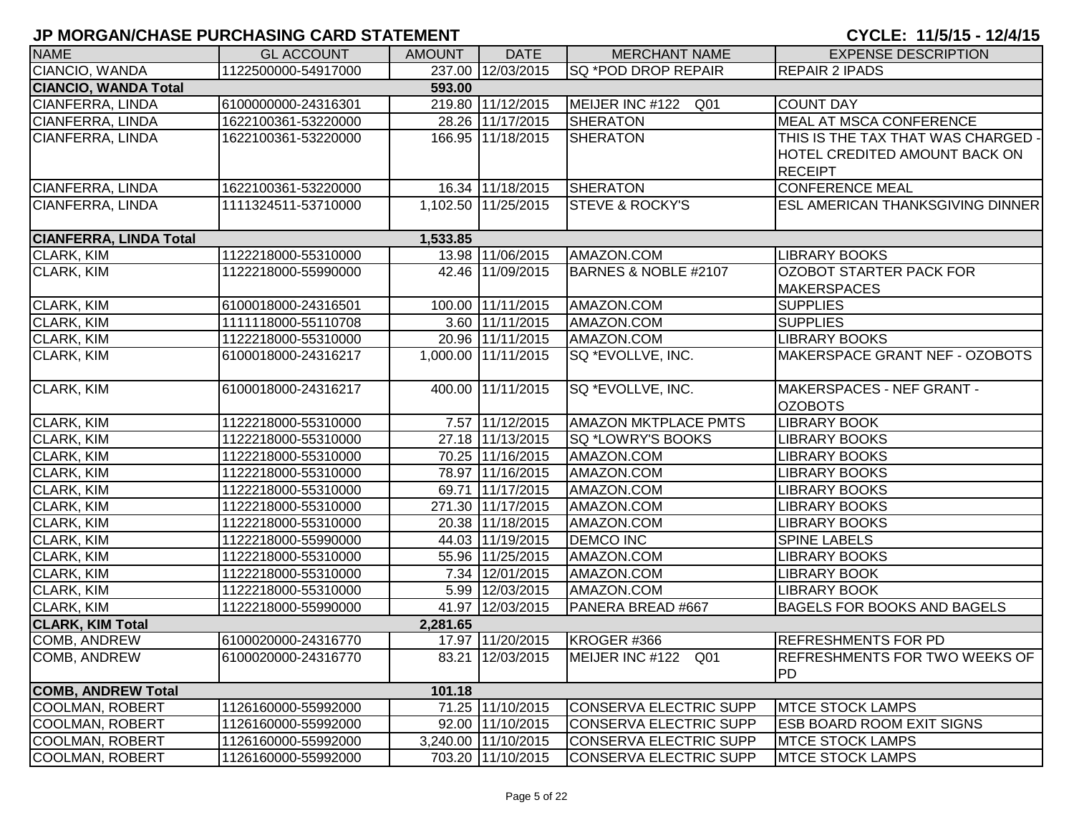| <b>NAME</b>                   | <b>GL ACCOUNT</b>   | <b>AMOUNT</b> | <b>DATE</b>         | <b>MERCHANT NAME</b>          | <b>EXPENSE DESCRIPTION</b>           |
|-------------------------------|---------------------|---------------|---------------------|-------------------------------|--------------------------------------|
| CIANCIO, WANDA                | 1122500000-54917000 |               | 237.00 12/03/2015   | SQ *POD DROP REPAIR           | <b>REPAIR 2 IPADS</b>                |
| <b>CIANCIO, WANDA Total</b>   |                     | 593.00        |                     |                               |                                      |
| CIANFERRA, LINDA              | 6100000000-24316301 |               | 219.80 11/12/2015   | MEIJER INC #122 Q01           | <b>COUNT DAY</b>                     |
| CIANFERRA, LINDA              | 1622100361-53220000 |               | 28.26 11/17/2015    | <b>SHERATON</b>               | <b>MEAL AT MSCA CONFERENCE</b>       |
| CIANFERRA, LINDA              | 1622100361-53220000 |               | 166.95 11/18/2015   | <b>SHERATON</b>               | THIS IS THE TAX THAT WAS CHARGED -   |
|                               |                     |               |                     |                               | <b>HOTEL CREDITED AMOUNT BACK ON</b> |
|                               |                     |               |                     |                               | <b>RECEIPT</b>                       |
| CIANFERRA, LINDA              | 1622100361-53220000 |               | 16.34 11/18/2015    | <b>SHERATON</b>               | <b>CONFERENCE MEAL</b>               |
| CIANFERRA, LINDA              | 1111324511-53710000 |               | 1,102.50 11/25/2015 | <b>STEVE &amp; ROCKY'S</b>    | ESL AMERICAN THANKSGIVING DINNER     |
|                               |                     |               |                     |                               |                                      |
| <b>CIANFERRA, LINDA Total</b> |                     | 1,533.85      |                     |                               |                                      |
| CLARK, KIM                    | 1122218000-55310000 |               | 13.98 11/06/2015    | AMAZON.COM                    | <b>LIBRARY BOOKS</b>                 |
| CLARK, KIM                    | 1122218000-55990000 |               | 42.46 11/09/2015    | BARNES & NOBLE #2107          | <b>OZOBOT STARTER PACK FOR</b>       |
|                               |                     |               |                     |                               | <b>MAKERSPACES</b>                   |
| CLARK, KIM                    | 6100018000-24316501 |               | 100.00 11/11/2015   | AMAZON.COM                    | <b>SUPPLIES</b>                      |
| <b>CLARK, KIM</b>             | 1111118000-55110708 |               | 3.60 11/11/2015     | AMAZON.COM                    | <b>SUPPLIES</b>                      |
| <b>CLARK, KIM</b>             | 1122218000-55310000 |               | 20.96 11/11/2015    | AMAZON.COM                    | <b>LIBRARY BOOKS</b>                 |
| <b>CLARK, KIM</b>             | 6100018000-24316217 |               | 1,000.00 11/11/2015 | SQ *EVOLLVE, INC.             | MAKERSPACE GRANT NEF - OZOBOTS       |
|                               |                     |               |                     |                               |                                      |
| <b>CLARK, KIM</b>             | 6100018000-24316217 |               | 400.00 11/11/2015   | SQ *EVOLLVE, INC.             | MAKERSPACES - NEF GRANT -            |
|                               |                     |               |                     |                               | <b>OZOBOTS</b>                       |
| CLARK, KIM                    | 1122218000-55310000 |               | 7.57 11/12/2015     | <b>AMAZON MKTPLACE PMTS</b>   | <b>LIBRARY BOOK</b>                  |
| CLARK, KIM                    | 1122218000-55310000 |               | 27.18 11/13/2015    | SQ *LOWRY'S BOOKS             | <b>LIBRARY BOOKS</b>                 |
| CLARK, KIM                    | 1122218000-55310000 |               | 70.25 11/16/2015    | AMAZON.COM                    | <b>LIBRARY BOOKS</b>                 |
| CLARK, KIM                    | 1122218000-55310000 |               | 78.97 11/16/2015    | AMAZON.COM                    | <b>LIBRARY BOOKS</b>                 |
| CLARK, KIM                    | 1122218000-55310000 |               | 69.71 11/17/2015    | AMAZON.COM                    | <b>LIBRARY BOOKS</b>                 |
| CLARK, KIM                    | 1122218000-55310000 |               | 271.30 11/17/2015   | AMAZON.COM                    | <b>LIBRARY BOOKS</b>                 |
| CLARK, KIM                    | 1122218000-55310000 |               | 20.38 11/18/2015    | AMAZON.COM                    | <b>LIBRARY BOOKS</b>                 |
| CLARK, KIM                    | 1122218000-55990000 |               | 44.03 11/19/2015    | <b>DEMCO INC</b>              | <b>SPINE LABELS</b>                  |
| CLARK, KIM                    | 1122218000-55310000 |               | 55.96 11/25/2015    | AMAZON.COM                    | <b>LIBRARY BOOKS</b>                 |
| CLARK, KIM                    | 1122218000-55310000 |               | 7.34 12/01/2015     | AMAZON.COM                    | <b>LIBRARY BOOK</b>                  |
| CLARK, KIM                    | 1122218000-55310000 |               | 5.99 12/03/2015     | AMAZON.COM                    | <b>LIBRARY BOOK</b>                  |
| <b>CLARK, KIM</b>             | 1122218000-55990000 |               | 41.97 12/03/2015    | PANERA BREAD #667             | BAGELS FOR BOOKS AND BAGELS          |
| <b>CLARK, KIM Total</b>       |                     | 2,281.65      |                     |                               |                                      |
| <b>COMB, ANDREW</b>           | 6100020000-24316770 |               | 17.97 11/20/2015    | KROGER #366                   | <b>REFRESHMENTS FOR PD</b>           |
| <b>COMB, ANDREW</b>           | 6100020000-24316770 |               | 83.21 12/03/2015    | MEIJER INC #122 Q01           | REFRESHMENTS FOR TWO WEEKS OF        |
|                               |                     |               |                     |                               | PD                                   |
| <b>COMB, ANDREW Total</b>     |                     | 101.18        |                     |                               |                                      |
| COOLMAN, ROBERT               | 1126160000-55992000 |               | 71.25 11/10/2015    | CONSERVA ELECTRIC SUPP        | <b>MTCE STOCK LAMPS</b>              |
| <b>COOLMAN, ROBERT</b>        | 1126160000-55992000 |               | 92.00 11/10/2015    | <b>CONSERVA ELECTRIC SUPP</b> | <b>ESB BOARD ROOM EXIT SIGNS</b>     |
| COOLMAN, ROBERT               | 1126160000-55992000 |               | 3,240.00 11/10/2015 | CONSERVA ELECTRIC SUPP        | <b>MTCE STOCK LAMPS</b>              |
| <b>COOLMAN, ROBERT</b>        | 1126160000-55992000 |               | 703.20 11/10/2015   | CONSERVA ELECTRIC SUPP        | <b>MTCE STOCK LAMPS</b>              |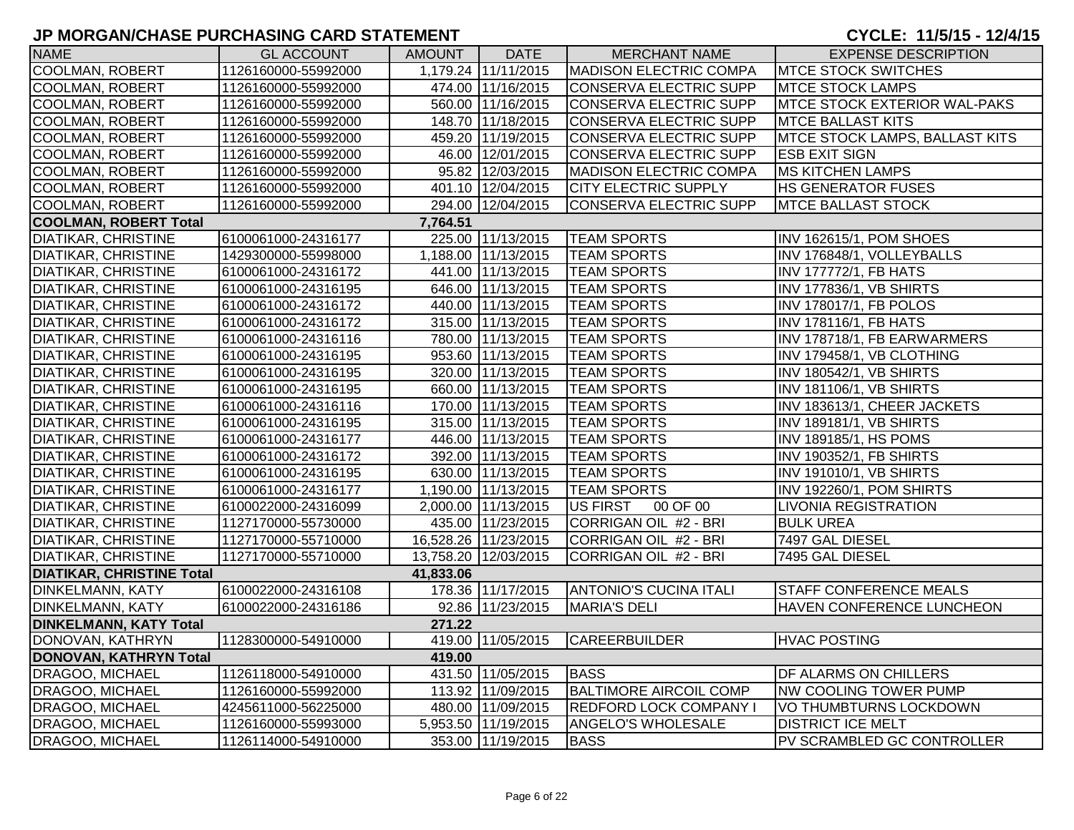| <b>NAME</b>                      | <b>GL ACCOUNT</b>   | AMOUNT I  | <b>DATE</b>          | <b>MERCHANT NAME</b>          | <b>EXPENSE DESCRIPTION</b>            |
|----------------------------------|---------------------|-----------|----------------------|-------------------------------|---------------------------------------|
| <b>COOLMAN, ROBERT</b>           | 1126160000-55992000 |           | 1,179.24 11/11/2015  | <b>MADISON ELECTRIC COMPA</b> | <b>MTCE STOCK SWITCHES</b>            |
| <b>COOLMAN, ROBERT</b>           | 1126160000-55992000 |           | 474.00 11/16/2015    | <b>CONSERVA ELECTRIC SUPP</b> | <b>MTCE STOCK LAMPS</b>               |
| COOLMAN, ROBERT                  | 1126160000-55992000 |           | 560.00 11/16/2015    | CONSERVA ELECTRIC SUPP        | <b>MTCE STOCK EXTERIOR WAL-PAKS</b>   |
| COOLMAN, ROBERT                  | 1126160000-55992000 |           | 148.70 11/18/2015    | CONSERVA ELECTRIC SUPP        | <b>MTCE BALLAST KITS</b>              |
| <b>COOLMAN, ROBERT</b>           | 1126160000-55992000 |           | 459.20 11/19/2015    | <b>CONSERVA ELECTRIC SUPP</b> | <b>MTCE STOCK LAMPS, BALLAST KITS</b> |
| <b>COOLMAN, ROBERT</b>           | 1126160000-55992000 |           | 46.00 12/01/2015     | CONSERVA ELECTRIC SUPP        | <b>ESB EXIT SIGN</b>                  |
| <b>COOLMAN, ROBERT</b>           | 1126160000-55992000 |           | 95.82 12/03/2015     | <b>MADISON ELECTRIC COMPA</b> | <b>MS KITCHEN LAMPS</b>               |
| COOLMAN, ROBERT                  | 1126160000-55992000 |           | 401.10 12/04/2015    | <b>CITY ELECTRIC SUPPLY</b>   | <b>HS GENERATOR FUSES</b>             |
| COOLMAN, ROBERT                  | 1126160000-55992000 |           | 294.00 12/04/2015    | CONSERVA ELECTRIC SUPP        | <b>MTCE BALLAST STOCK</b>             |
| <b>COOLMAN, ROBERT Total</b>     |                     | 7,764.51  |                      |                               |                                       |
| <b>DIATIKAR, CHRISTINE</b>       | 6100061000-24316177 |           | 225.00 11/13/2015    | <b>TEAM SPORTS</b>            | INV 162615/1, POM SHOES               |
| <b>DIATIKAR, CHRISTINE</b>       | 1429300000-55998000 |           | 1,188.00 11/13/2015  | <b>TEAM SPORTS</b>            | INV 176848/1, VOLLEYBALLS             |
| <b>DIATIKAR, CHRISTINE</b>       | 6100061000-24316172 |           | 441.00 11/13/2015    | <b>TEAM SPORTS</b>            | <b>INV 177772/1, FB HATS</b>          |
| <b>DIATIKAR, CHRISTINE</b>       | 6100061000-24316195 |           | 646.00 11/13/2015    | <b>TEAM SPORTS</b>            | INV 177836/1, VB SHIRTS               |
| <b>DIATIKAR, CHRISTINE</b>       | 6100061000-24316172 |           | 440.00 11/13/2015    | <b>TEAM SPORTS</b>            | INV 178017/1, FB POLOS                |
| <b>DIATIKAR, CHRISTINE</b>       | 6100061000-24316172 |           | 315.00 11/13/2015    | <b>TEAM SPORTS</b>            | INV 178116/1, FB HATS                 |
| <b>DIATIKAR, CHRISTINE</b>       | 6100061000-24316116 |           | 780.00 11/13/2015    | <b>TEAM SPORTS</b>            | INV 178718/1, FB EARWARMERS           |
| <b>DIATIKAR, CHRISTINE</b>       | 6100061000-24316195 |           | 953.60 11/13/2015    | <b>TEAM SPORTS</b>            | INV 179458/1, VB CLOTHING             |
| <b>DIATIKAR, CHRISTINE</b>       | 6100061000-24316195 |           | 320.00 11/13/2015    | <b>TEAM SPORTS</b>            | INV 180542/1, VB SHIRTS               |
| <b>DIATIKAR, CHRISTINE</b>       | 6100061000-24316195 |           | 660.00 11/13/2015    | <b>TEAM SPORTS</b>            | <b>INV 181106/1, VB SHIRTS</b>        |
| <b>DIATIKAR, CHRISTINE</b>       | 6100061000-24316116 |           | 170.00 11/13/2015    | <b>TEAM SPORTS</b>            | INV 183613/1, CHEER JACKETS           |
| <b>DIATIKAR, CHRISTINE</b>       | 6100061000-24316195 |           | 315.00 11/13/2015    | <b>TEAM SPORTS</b>            | <b>INV 189181/1, VB SHIRTS</b>        |
| <b>DIATIKAR, CHRISTINE</b>       | 6100061000-24316177 |           | 446.00 11/13/2015    | <b>TEAM SPORTS</b>            | INV 189185/1, HS POMS                 |
| <b>DIATIKAR, CHRISTINE</b>       | 6100061000-24316172 |           | 392.00 11/13/2015    | <b>TEAM SPORTS</b>            | INV 190352/1, FB SHIRTS               |
| <b>DIATIKAR, CHRISTINE</b>       | 6100061000-24316195 |           | 630.00 11/13/2015    | <b>TEAM SPORTS</b>            | <b>INV 191010/1, VB SHIRTS</b>        |
| <b>DIATIKAR, CHRISTINE</b>       | 6100061000-24316177 |           | 1,190.00 11/13/2015  | <b>TEAM SPORTS</b>            | INV 192260/1, POM SHIRTS              |
| <b>DIATIKAR, CHRISTINE</b>       | 6100022000-24316099 |           | 2,000.00 11/13/2015  | US FIRST<br>00 OF 00          | <b>LIVONIA REGISTRATION</b>           |
| <b>DIATIKAR, CHRISTINE</b>       | 1127170000-55730000 |           | 435.00 11/23/2015    | CORRIGAN OIL #2 - BRI         | <b>BULK UREA</b>                      |
| <b>DIATIKAR, CHRISTINE</b>       | 1127170000-55710000 |           | 16,528.26 11/23/2015 | CORRIGAN OIL #2 - BRI         | 7497 GAL DIESEL                       |
| <b>DIATIKAR, CHRISTINE</b>       | 1127170000-55710000 |           | 13,758.20 12/03/2015 | CORRIGAN OIL #2 - BRI         | 7495 GAL DIESEL                       |
| <b>DIATIKAR, CHRISTINE Total</b> |                     | 41,833.06 |                      |                               |                                       |
| <b>DINKELMANN, KATY</b>          | 6100022000-24316108 |           | 178.36 11/17/2015    | <b>ANTONIO'S CUCINA ITALI</b> | STAFF CONFERENCE MEALS                |
| <b>DINKELMANN, KATY</b>          | 6100022000-24316186 |           | 92.86 11/23/2015     | <b>MARIA'S DELI</b>           | HAVEN CONFERENCE LUNCHEON             |
| <b>DINKELMANN, KATY Total</b>    |                     | 271.22    |                      |                               |                                       |
| DONOVAN, KATHRYN                 | 1128300000-54910000 |           | 419.00 11/05/2015    | <b>CAREERBUILDER</b>          | <b>HVAC POSTING</b>                   |
| DONOVAN, KATHRYN Total           |                     | 419.00    |                      |                               |                                       |
| <b>DRAGOO, MICHAEL</b>           | 1126118000-54910000 |           | 431.50 11/05/2015    | <b>BASS</b>                   | DF ALARMS ON CHILLERS                 |
| <b>DRAGOO, MICHAEL</b>           | 1126160000-55992000 |           | 113.92 11/09/2015    | <b>BALTIMORE AIRCOIL COMP</b> | NW COOLING TOWER PUMP                 |
| DRAGOO, MICHAEL                  | 4245611000-56225000 |           | 480.00 11/09/2015    | <b>REDFORD LOCK COMPANY I</b> | VO THUMBTURNS LOCKDOWN                |
| <b>DRAGOO, MICHAEL</b>           | 1126160000-55993000 |           | 5,953.50 11/19/2015  | <b>ANGELO'S WHOLESALE</b>     | <b>DISTRICT ICE MELT</b>              |
| <b>DRAGOO, MICHAEL</b>           | 1126114000-54910000 |           | 353.00 11/19/2015    | <b>BASS</b>                   | PV SCRAMBLED GC CONTROLLER            |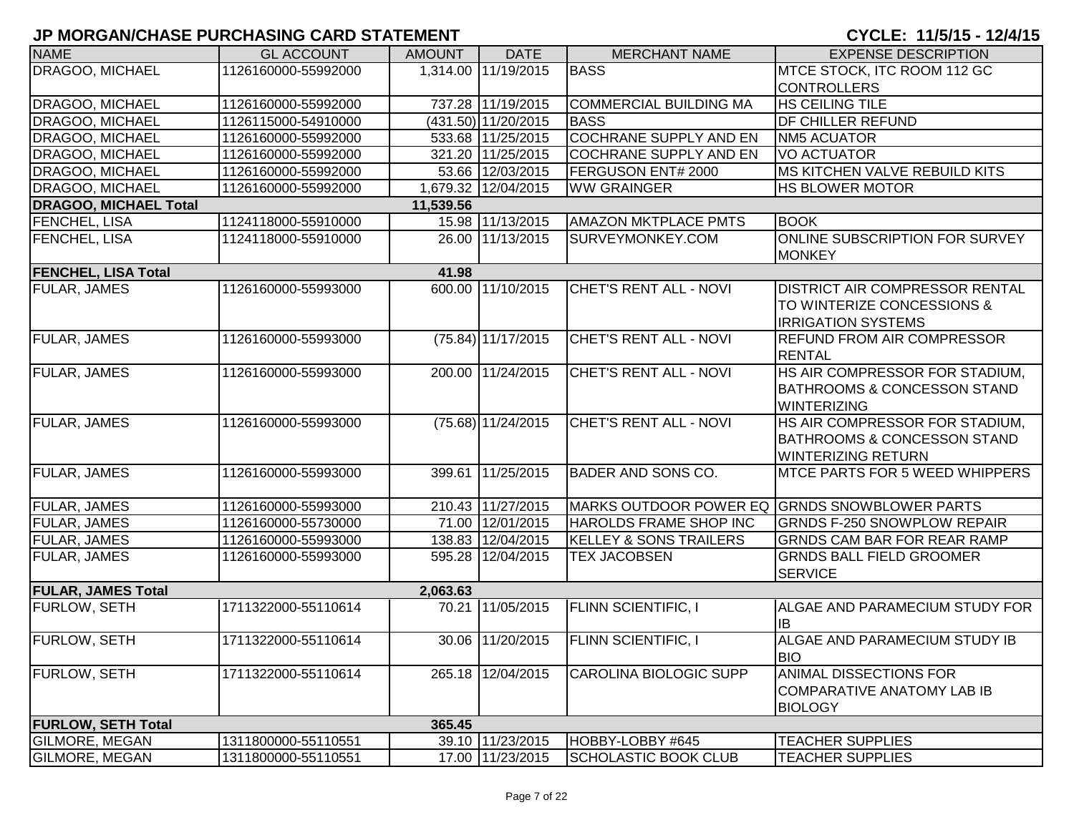# **JP MORGAN/CHASE PURCHASING CARD STATEMENT CYCLE: 11/5/15 - 12/4/15**

| <b>NAME</b>                  | <b>GL ACCOUNT</b>   | <b>AMOUNT</b> | <b>DATE</b>          | <b>MERCHANT NAME</b>              | <b>EXPENSE DESCRIPTION</b>                                         |
|------------------------------|---------------------|---------------|----------------------|-----------------------------------|--------------------------------------------------------------------|
| DRAGOO, MICHAEL              | 1126160000-55992000 |               | 1,314.00 11/19/2015  | <b>BASS</b>                       | MTCE STOCK, ITC ROOM 112 GC                                        |
|                              |                     |               |                      |                                   | <b>CONTROLLERS</b>                                                 |
| DRAGOO, MICHAEL              | 1126160000-55992000 |               | 737.28 11/19/2015    | <b>COMMERCIAL BUILDING MA</b>     | <b>HS CEILING TILE</b>                                             |
| DRAGOO, MICHAEL              | 1126115000-54910000 |               | (431.50) 11/20/2015  | <b>BASS</b>                       | <b>DF CHILLER REFUND</b>                                           |
| DRAGOO, MICHAEL              | 1126160000-55992000 |               | 533.68 11/25/2015    | <b>COCHRANE SUPPLY AND EN</b>     | <b>NM5 ACUATOR</b>                                                 |
| DRAGOO, MICHAEL              | 1126160000-55992000 |               | 321.20 11/25/2015    | <b>COCHRANE SUPPLY AND EN</b>     | <b>VO ACTUATOR</b>                                                 |
| DRAGOO, MICHAEL              | 1126160000-55992000 |               | 53.66 12/03/2015     | FERGUSON ENT# 2000                | <b>MS KITCHEN VALVE REBUILD KITS</b>                               |
| DRAGOO, MICHAEL              | 1126160000-55992000 |               | 1,679.32 12/04/2015  | <b>WW GRAINGER</b>                | <b>HS BLOWER MOTOR</b>                                             |
| <b>DRAGOO, MICHAEL Total</b> |                     | 11,539.56     |                      |                                   |                                                                    |
| FENCHEL, LISA                | 1124118000-55910000 |               | 15.98 11/13/2015     | <b>AMAZON MKTPLACE PMTS</b>       | <b>BOOK</b>                                                        |
| FENCHEL, LISA                | 1124118000-55910000 |               | 26.00 11/13/2015     | SURVEYMONKEY.COM                  | ONLINE SUBSCRIPTION FOR SURVEY                                     |
|                              |                     |               |                      |                                   | <b>MONKEY</b>                                                      |
| <b>FENCHEL, LISA Total</b>   |                     | 41.98         |                      |                                   |                                                                    |
| <b>FULAR, JAMES</b>          | 1126160000-55993000 |               | 600.00 11/10/2015    | CHET'S RENT ALL - NOVI            | <b>DISTRICT AIR COMPRESSOR RENTAL</b>                              |
|                              |                     |               |                      |                                   | TO WINTERIZE CONCESSIONS &                                         |
|                              |                     |               |                      |                                   | <b>IRRIGATION SYSTEMS</b>                                          |
| <b>FULAR, JAMES</b>          | 1126160000-55993000 |               | $(75.84)$ 11/17/2015 | CHET'S RENT ALL - NOVI            | <b>REFUND FROM AIR COMPRESSOR</b>                                  |
|                              |                     |               |                      |                                   | <b>RENTAL</b>                                                      |
| <b>FULAR, JAMES</b>          | 1126160000-55993000 |               | 200.00 11/24/2015    | <b>CHET'S RENT ALL - NOVI</b>     | HS AIR COMPRESSOR FOR STADIUM,                                     |
|                              |                     |               |                      |                                   | <b>BATHROOMS &amp; CONCESSON STAND</b><br><b>WINTERIZING</b>       |
| <b>FULAR, JAMES</b>          | 1126160000-55993000 |               | (75.68) 11/24/2015   | <b>CHET'S RENT ALL - NOVI</b>     | HS AIR COMPRESSOR FOR STADIUM,                                     |
|                              |                     |               |                      |                                   | <b>BATHROOMS &amp; CONCESSON STAND</b>                             |
|                              |                     |               |                      |                                   | <b>WINTERIZING RETURN</b>                                          |
| <b>FULAR, JAMES</b>          | 1126160000-55993000 |               | 399.61 11/25/2015    | <b>BADER AND SONS CO.</b>         | <b>MTCE PARTS FOR 5 WEED WHIPPERS</b>                              |
|                              |                     |               |                      |                                   |                                                                    |
| FULAR, JAMES                 | 1126160000-55993000 |               | 210.43 11/27/2015    |                                   | MARKS OUTDOOR POWER EQ GRNDS SNOWBLOWER PARTS                      |
| <b>FULAR, JAMES</b>          | 1126160000-55730000 |               | 71.00 12/01/2015     | HAROLDS FRAME SHOP INC            | <b>GRNDS F-250 SNOWPLOW REPAIR</b>                                 |
| <b>FULAR, JAMES</b>          | 1126160000-55993000 |               | 138.83 12/04/2015    | <b>KELLEY &amp; SONS TRAILERS</b> | GRNDS CAM BAR FOR REAR RAMP                                        |
| <b>FULAR, JAMES</b>          | 1126160000-55993000 |               | 595.28 12/04/2015    | TEX JACOBSEN                      | <b>GRNDS BALL FIELD GROOMER</b>                                    |
|                              |                     |               |                      |                                   | <b>SERVICE</b>                                                     |
| <b>FULAR, JAMES Total</b>    |                     | 2,063.63      |                      |                                   |                                                                    |
| <b>FURLOW, SETH</b>          | 1711322000-55110614 |               | 70.21 11/05/2015     | <b>FLINN SCIENTIFIC, I</b>        | ALGAE AND PARAMECIUM STUDY FOR                                     |
|                              |                     |               |                      |                                   | <b>IB</b>                                                          |
| <b>FURLOW, SETH</b>          | 1711322000-55110614 |               | 30.06 11/20/2015     | <b>FLINN SCIENTIFIC, I</b>        | ALGAE AND PARAMECIUM STUDY IB                                      |
|                              |                     |               |                      |                                   | <b>BIO</b>                                                         |
| <b>FURLOW, SETH</b>          | 1711322000-55110614 |               | 265.18 12/04/2015    | <b>CAROLINA BIOLOGIC SUPP</b>     | <b>ANIMAL DISSECTIONS FOR</b><br><b>COMPARATIVE ANATOMY LAB IB</b> |
|                              |                     |               |                      |                                   | <b>BIOLOGY</b>                                                     |
| <b>FURLOW, SETH Total</b>    |                     | 365.45        |                      |                                   |                                                                    |
| <b>GILMORE, MEGAN</b>        | 1311800000-55110551 |               | 39.10 11/23/2015     | HOBBY-LOBBY #645                  | <b>TEACHER SUPPLIES</b>                                            |
| <b>GILMORE, MEGAN</b>        | 1311800000-55110551 |               | 17.00 11/23/2015     | <b>SCHOLASTIC BOOK CLUB</b>       | <b>TEACHER SUPPLIES</b>                                            |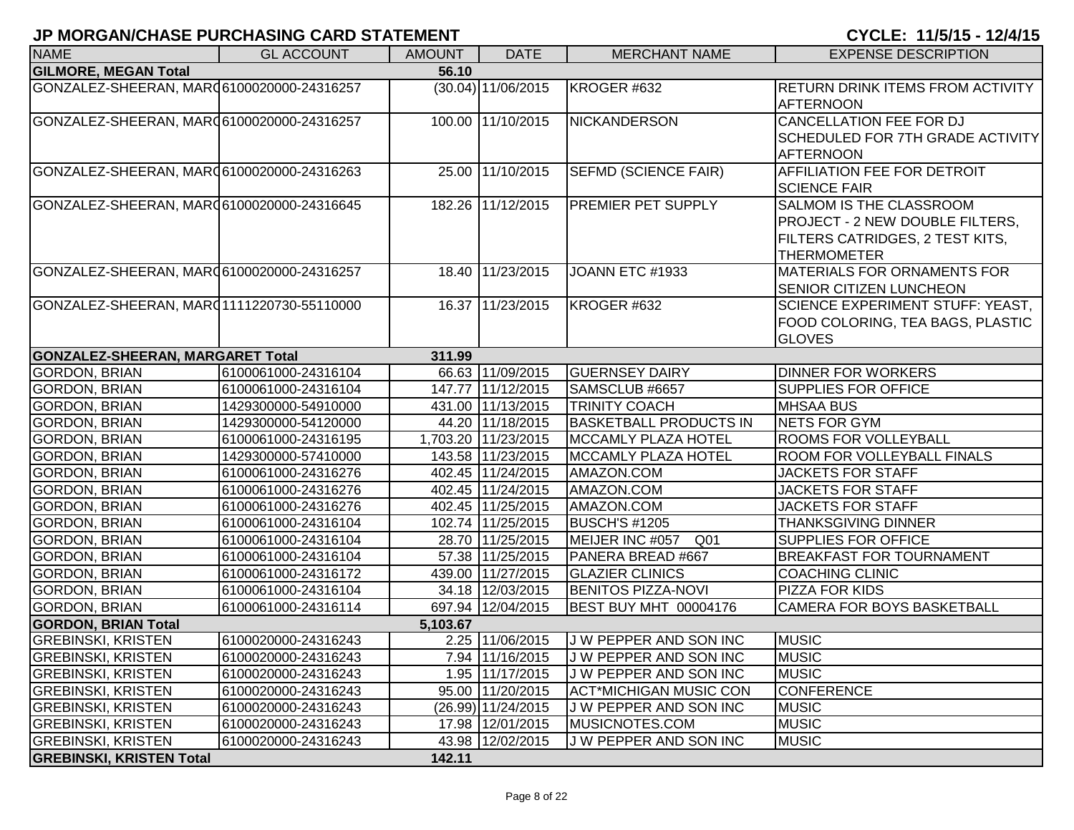| <b>NAME</b>                               | <b>GL ACCOUNT</b>   | <b>AMOUNT</b> | <b>DATE</b>         | <b>MERCHANT NAME</b>          | <b>EXPENSE DESCRIPTION</b>              |
|-------------------------------------------|---------------------|---------------|---------------------|-------------------------------|-----------------------------------------|
| <b>GILMORE, MEGAN Total</b>               |                     | 56.10         |                     |                               |                                         |
| GONZALEZ-SHEERAN, MARQ6100020000-24316257 |                     |               | (30.04) 11/06/2015  | KROGER #632                   | <b>RETURN DRINK ITEMS FROM ACTIVITY</b> |
|                                           |                     |               |                     |                               | <b>AFTERNOON</b>                        |
| GONZALEZ-SHEERAN, MAR06100020000-24316257 |                     |               | 100.00 11/10/2015   | <b>NICKANDERSON</b>           | <b>CANCELLATION FEE FOR DJ</b>          |
|                                           |                     |               |                     |                               | SCHEDULED FOR 7TH GRADE ACTIVITY        |
|                                           |                     |               |                     |                               | <b>AFTERNOON</b>                        |
| GONZALEZ-SHEERAN, MAR06100020000-24316263 |                     |               | 25.00 11/10/2015    | <b>SEFMD (SCIENCE FAIR)</b>   | AFFILIATION FEE FOR DETROIT             |
|                                           |                     |               |                     |                               | <b>SCIENCE FAIR</b>                     |
| GONZALEZ-SHEERAN, MARQ6100020000-24316645 |                     |               | 182.26 11/12/2015   | <b>PREMIER PET SUPPLY</b>     | SALMOM IS THE CLASSROOM                 |
|                                           |                     |               |                     |                               | PROJECT - 2 NEW DOUBLE FILTERS,         |
|                                           |                     |               |                     |                               | FILTERS CATRIDGES, 2 TEST KITS,         |
|                                           |                     |               |                     |                               | <b>THERMOMETER</b>                      |
| GONZALEZ-SHEERAN, MAR06100020000-24316257 |                     |               | 18.40 11/23/2015    | JOANN ETC #1933               | MATERIALS FOR ORNAMENTS FOR             |
|                                           |                     |               |                     |                               | <b>SENIOR CITIZEN LUNCHEON</b>          |
| GONZALEZ-SHEERAN, MARQ1111220730-55110000 |                     |               | 16.37 11/23/2015    | KROGER #632                   | <b>SCIENCE EXPERIMENT STUFF: YEAST,</b> |
|                                           |                     |               |                     |                               | FOOD COLORING, TEA BAGS, PLASTIC        |
|                                           |                     |               |                     |                               | <b>GLOVES</b>                           |
| <b>GONZALEZ-SHEERAN, MARGARET Total</b>   |                     | 311.99        |                     |                               |                                         |
| <b>GORDON, BRIAN</b>                      | 6100061000-24316104 |               | 66.63 11/09/2015    | <b>GUERNSEY DAIRY</b>         | <b>DINNER FOR WORKERS</b>               |
| <b>GORDON, BRIAN</b>                      | 6100061000-24316104 |               | 147.77 11/12/2015   | SAMSCLUB #6657                | <b>SUPPLIES FOR OFFICE</b>              |
| <b>GORDON, BRIAN</b>                      | 1429300000-54910000 |               | 431.00 11/13/2015   | <b>TRINITY COACH</b>          | <b>MHSAA BUS</b>                        |
| <b>GORDON, BRIAN</b>                      | 1429300000-54120000 |               | 44.20 11/18/2015    | <b>BASKETBALL PRODUCTS IN</b> | <b>NETS FOR GYM</b>                     |
| <b>GORDON, BRIAN</b>                      | 6100061000-24316195 |               | 1,703.20 11/23/2015 | <b>MCCAMLY PLAZA HOTEL</b>    | <b>ROOMS FOR VOLLEYBALL</b>             |
| <b>GORDON, BRIAN</b>                      | 1429300000-57410000 |               | 143.58 11/23/2015   | <b>MCCAMLY PLAZA HOTEL</b>    | <b>ROOM FOR VOLLEYBALL FINALS</b>       |
| <b>GORDON, BRIAN</b>                      | 6100061000-24316276 |               | 402.45 11/24/2015   | AMAZON.COM                    | <b>JACKETS FOR STAFF</b>                |
| <b>GORDON, BRIAN</b>                      | 6100061000-24316276 |               | 402.45 11/24/2015   | AMAZON.COM                    | <b>JACKETS FOR STAFF</b>                |
| <b>GORDON, BRIAN</b>                      | 6100061000-24316276 |               | 402.45 11/25/2015   | AMAZON.COM                    | <b>JACKETS FOR STAFF</b>                |
| <b>GORDON, BRIAN</b>                      | 6100061000-24316104 |               | 102.74 11/25/2015   | <b>BUSCH'S #1205</b>          | <b>THANKSGIVING DINNER</b>              |
| <b>GORDON, BRIAN</b>                      | 6100061000-24316104 |               | 28.70 11/25/2015    | Q01<br>MEIJER INC #057        | SUPPLIES FOR OFFICE                     |
| <b>GORDON, BRIAN</b>                      | 6100061000-24316104 |               | 57.38 11/25/2015    | PANERA BREAD #667             | <b>BREAKFAST FOR TOURNAMENT</b>         |
| <b>GORDON, BRIAN</b>                      | 6100061000-24316172 |               | 439.00 11/27/2015   | <b>GLAZIER CLINICS</b>        | <b>COACHING CLINIC</b>                  |
| <b>GORDON, BRIAN</b>                      | 6100061000-24316104 |               | 34.18 12/03/2015    | <b>BENITOS PIZZA-NOVI</b>     | <b>PIZZA FOR KIDS</b>                   |
| <b>GORDON, BRIAN</b>                      | 6100061000-24316114 |               | 697.94 12/04/2015   | <b>BEST BUY MHT 00004176</b>  | <b>CAMERA FOR BOYS BASKETBALL</b>       |
| <b>GORDON, BRIAN Total</b>                |                     | 5,103.67      |                     |                               |                                         |
| <b>GREBINSKI, KRISTEN</b>                 | 6100020000-24316243 |               | 2.25 11/06/2015     | J W PEPPER AND SON INC        | <b>MUSIC</b>                            |
| <b>GREBINSKI, KRISTEN</b>                 | 6100020000-24316243 |               | 7.94 11/16/2015     | J W PEPPER AND SON INC        | <b>MUSIC</b>                            |
| <b>GREBINSKI, KRISTEN</b>                 | 6100020000-24316243 |               | 1.95 11/17/2015     | J W PEPPER AND SON INC        | <b>MUSIC</b>                            |
| <b>GREBINSKI, KRISTEN</b>                 | 6100020000-24316243 |               | 95.00 11/20/2015    | <b>ACT*MICHIGAN MUSIC CON</b> | <b>CONFERENCE</b>                       |
| <b>GREBINSKI, KRISTEN</b>                 | 6100020000-24316243 |               | (26.99) 11/24/2015  | J W PEPPER AND SON INC        | <b>MUSIC</b>                            |
| <b>GREBINSKI, KRISTEN</b>                 | 6100020000-24316243 |               | 17.98 12/01/2015    | MUSICNOTES.COM                | <b>MUSIC</b>                            |
| <b>GREBINSKI, KRISTEN</b>                 | 6100020000-24316243 |               | 43.98 12/02/2015    | J W PEPPER AND SON INC        | <b>MUSIC</b>                            |
| <b>GREBINSKI, KRISTEN Total</b>           |                     | 142.11        |                     |                               |                                         |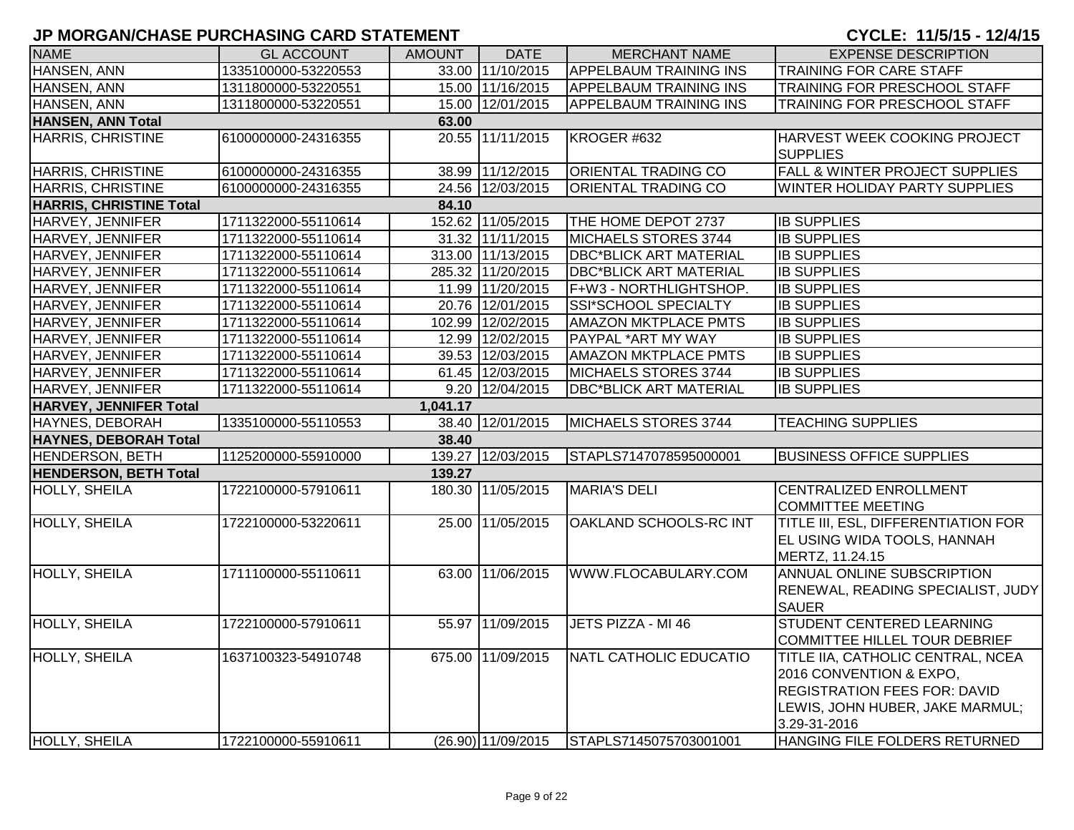| <b>NAME</b>                    | <b>GL ACCOUNT</b>   | <b>AMOUNT</b> | <b>DATE</b>          | <b>MERCHANT NAME</b>          | <b>EXPENSE DESCRIPTION</b>                                                                                                                             |
|--------------------------------|---------------------|---------------|----------------------|-------------------------------|--------------------------------------------------------------------------------------------------------------------------------------------------------|
| HANSEN, ANN                    | 1335100000-53220553 |               | 33.00 11/10/2015     | <b>APPELBAUM TRAINING INS</b> | <b>TRAINING FOR CARE STAFF</b>                                                                                                                         |
| HANSEN, ANN                    | 1311800000-53220551 |               | 15.00 11/16/2015     | <b>APPELBAUM TRAINING INS</b> | TRAINING FOR PRESCHOOL STAFF                                                                                                                           |
| <b>HANSEN, ANN</b>             | 1311800000-53220551 |               | 15.00 12/01/2015     | <b>APPELBAUM TRAINING INS</b> | <b>TRAINING FOR PRESCHOOL STAFF</b>                                                                                                                    |
| <b>HANSEN, ANN Total</b>       |                     | 63.00         |                      |                               |                                                                                                                                                        |
| <b>HARRIS, CHRISTINE</b>       | 6100000000-24316355 |               | 20.55 11/11/2015     | KROGER #632                   | HARVEST WEEK COOKING PROJECT<br><b>SUPPLIES</b>                                                                                                        |
| HARRIS, CHRISTINE              | 6100000000-24316355 |               | 38.99 11/12/2015     | ORIENTAL TRADING CO           | FALL & WINTER PROJECT SUPPLIES                                                                                                                         |
| <b>HARRIS, CHRISTINE</b>       | 6100000000-24316355 |               | 24.56 12/03/2015     | <b>ORIENTAL TRADING CO</b>    | WINTER HOLIDAY PARTY SUPPLIES                                                                                                                          |
| <b>HARRIS, CHRISTINE Total</b> |                     | 84.10         |                      |                               |                                                                                                                                                        |
| HARVEY, JENNIFER               | 1711322000-55110614 |               | 152.62 11/05/2015    | THE HOME DEPOT 2737           | <b>IB SUPPLIES</b>                                                                                                                                     |
| HARVEY, JENNIFER               | 1711322000-55110614 |               | 31.32 11/11/2015     | MICHAELS STORES 3744          | <b>IB SUPPLIES</b>                                                                                                                                     |
| HARVEY, JENNIFER               | 1711322000-55110614 |               | 313.00 11/13/2015    | <b>DBC*BLICK ART MATERIAL</b> | <b>IB SUPPLIES</b>                                                                                                                                     |
| HARVEY, JENNIFER               | 1711322000-55110614 |               | 285.32 11/20/2015    | <b>DBC*BLICK ART MATERIAL</b> | <b>IB SUPPLIES</b>                                                                                                                                     |
| HARVEY, JENNIFER               | 1711322000-55110614 |               | 11.99 11/20/2015     | F+W3 - NORTHLIGHTSHOP.        | <b>IB SUPPLIES</b>                                                                                                                                     |
| HARVEY, JENNIFER               | 1711322000-55110614 |               | 20.76 12/01/2015     | SSI*SCHOOL SPECIALTY          | <b>IB SUPPLIES</b>                                                                                                                                     |
| HARVEY, JENNIFER               | 1711322000-55110614 |               | 102.99 12/02/2015    | <b>AMAZON MKTPLACE PMTS</b>   | <b>IB SUPPLIES</b>                                                                                                                                     |
| HARVEY, JENNIFER               | 1711322000-55110614 |               | 12.99 12/02/2015     | PAYPAL *ART MY WAY            | <b>IB SUPPLIES</b>                                                                                                                                     |
| HARVEY, JENNIFER               | 1711322000-55110614 |               | 39.53 12/03/2015     | <b>AMAZON MKTPLACE PMTS</b>   | <b>IB SUPPLIES</b>                                                                                                                                     |
| HARVEY, JENNIFER               | 1711322000-55110614 |               | 61.45 12/03/2015     | MICHAELS STORES 3744          | <b>IB SUPPLIES</b>                                                                                                                                     |
| HARVEY, JENNIFER               | 1711322000-55110614 |               | 9.20 12/04/2015      | <b>DBC*BLICK ART MATERIAL</b> | <b>IB SUPPLIES</b>                                                                                                                                     |
| <b>HARVEY, JENNIFER Total</b>  |                     | 1,041.17      |                      |                               |                                                                                                                                                        |
| HAYNES, DEBORAH                | 1335100000-55110553 |               | 38.40 12/01/2015     | MICHAELS STORES 3744          | <b>TEACHING SUPPLIES</b>                                                                                                                               |
| <b>HAYNES, DEBORAH Total</b>   |                     | 38.40         |                      |                               |                                                                                                                                                        |
| <b>HENDERSON, BETH</b>         | 1125200000-55910000 |               | 139.27 12/03/2015    | STAPLS7147078595000001        | <b>BUSINESS OFFICE SUPPLIES</b>                                                                                                                        |
| <b>HENDERSON, BETH Total</b>   |                     | 139.27        |                      |                               |                                                                                                                                                        |
| <b>HOLLY, SHEILA</b>           | 1722100000-57910611 |               | 180.30 11/05/2015    | <b>MARIA'S DELI</b>           | <b>CENTRALIZED ENROLLMENT</b><br><b>COMMITTEE MEETING</b>                                                                                              |
| <b>HOLLY, SHEILA</b>           | 1722100000-53220611 |               | 25.00 11/05/2015     | OAKLAND SCHOOLS-RC INT        | TITLE III, ESL, DIFFERENTIATION FOR<br>EL USING WIDA TOOLS, HANNAH<br>MERTZ, 11.24.15                                                                  |
| HOLLY, SHEILA                  | 1711100000-55110611 |               | 63.00 11/06/2015     | WWW.FLOCABULARY.COM           | ANNUAL ONLINE SUBSCRIPTION<br>RENEWAL, READING SPECIALIST, JUDY<br><b>SAUER</b>                                                                        |
| <b>HOLLY, SHEILA</b>           | 1722100000-57910611 |               | 55.97 11/09/2015     | JETS PIZZA - MI 46            | STUDENT CENTERED LEARNING<br>COMMITTEE HILLEL TOUR DEBRIEF                                                                                             |
| <b>HOLLY, SHEILA</b>           | 1637100323-54910748 |               | 675.00 11/09/2015    | NATL CATHOLIC EDUCATIO        | TITLE IIA, CATHOLIC CENTRAL, NCEA<br>2016 CONVENTION & EXPO,<br><b>REGISTRATION FEES FOR: DAVID</b><br>LEWIS, JOHN HUBER, JAKE MARMUL;<br>3.29-31-2016 |
| <b>HOLLY, SHEILA</b>           | 1722100000-55910611 |               | $(26.90)$ 11/09/2015 | STAPLS7145075703001001        | HANGING FILE FOLDERS RETURNED                                                                                                                          |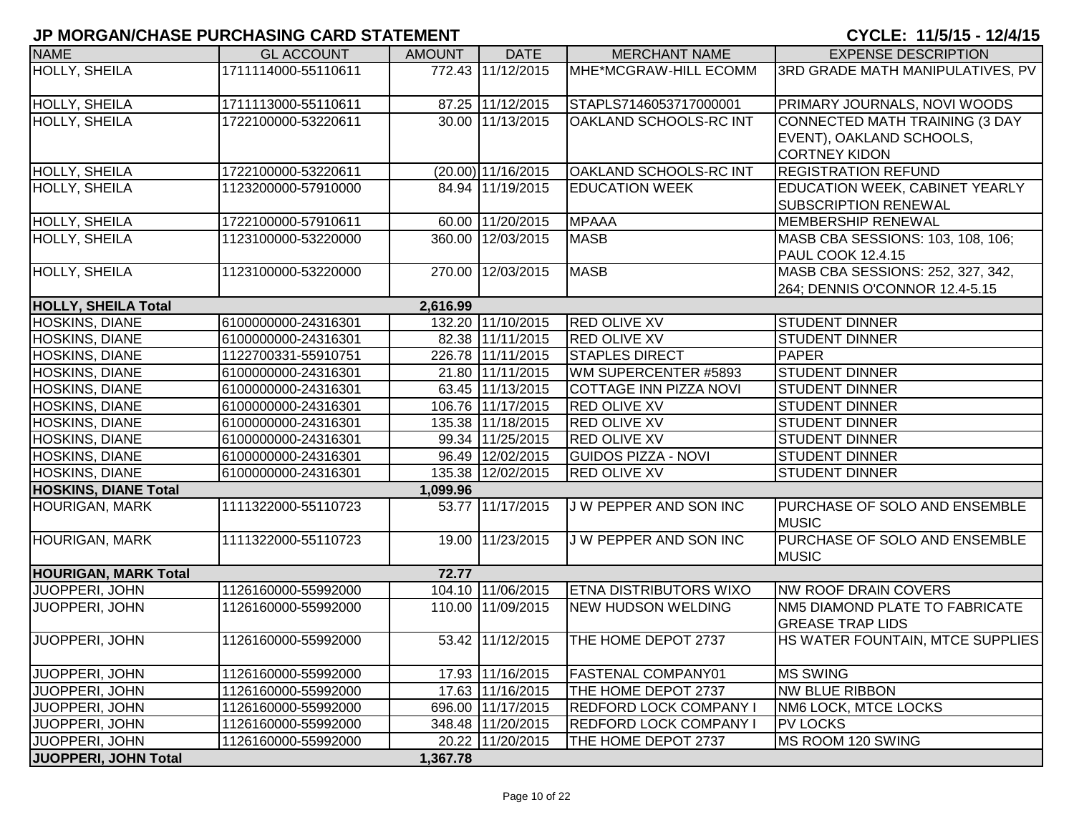| <b>NAME</b>                 | <b>GL ACCOUNT</b>   | <b>AMOUNT</b> | <b>DATE</b>        | <b>MERCHANT NAME</b>          | <b>EXPENSE DESCRIPTION</b>                    |
|-----------------------------|---------------------|---------------|--------------------|-------------------------------|-----------------------------------------------|
| <b>HOLLY, SHEILA</b>        | 1711114000-55110611 |               | 772.43 11/12/2015  | MHE*MCGRAW-HILL ECOMM         | 3RD GRADE MATH MANIPULATIVES, PV              |
|                             |                     |               |                    |                               |                                               |
| <b>HOLLY, SHEILA</b>        | 1711113000-55110611 |               | 87.25 11/12/2015   | STAPLS7146053717000001        | PRIMARY JOURNALS, NOVI WOODS                  |
| <b>HOLLY, SHEILA</b>        | 1722100000-53220611 |               | 30.00 11/13/2015   | OAKLAND SCHOOLS-RC INT        | CONNECTED MATH TRAINING (3 DAY                |
|                             |                     |               |                    |                               | EVENT), OAKLAND SCHOOLS,                      |
|                             |                     |               |                    |                               | <b>CORTNEY KIDON</b>                          |
| HOLLY, SHEILA               | 1722100000-53220611 |               | (20.00) 11/16/2015 | OAKLAND SCHOOLS-RC INT        | <b>REGISTRATION REFUND</b>                    |
| HOLLY, SHEILA               | 1123200000-57910000 |               | 84.94 11/19/2015   | <b>EDUCATION WEEK</b>         | EDUCATION WEEK, CABINET YEARLY                |
|                             |                     |               |                    |                               | SUBSCRIPTION RENEWAL                          |
| HOLLY, SHEILA               | 1722100000-57910611 |               | 60.00 11/20/2015   | <b>MPAAA</b>                  | <b>MEMBERSHIP RENEWAL</b>                     |
| <b>HOLLY, SHEILA</b>        | 1123100000-53220000 |               | 360.00 12/03/2015  | <b>MASB</b>                   | MASB CBA SESSIONS: 103, 108, 106;             |
|                             |                     |               |                    |                               | <b>PAUL COOK 12.4.15</b>                      |
| HOLLY, SHEILA               | 1123100000-53220000 | 270.00        | 12/03/2015         | <b>MASB</b>                   | MASB CBA SESSIONS: 252, 327, 342,             |
|                             |                     |               |                    |                               | 264; DENNIS O'CONNOR 12.4-5.15                |
| <b>HOLLY, SHEILA Total</b>  |                     | 2,616.99      |                    |                               |                                               |
| HOSKINS, DIANE              | 6100000000-24316301 |               | 132.20 11/10/2015  | <b>RED OLIVE XV</b>           | <b>STUDENT DINNER</b>                         |
| HOSKINS, DIANE              | 6100000000-24316301 |               | 82.38 11/11/2015   | <b>RED OLIVE XV</b>           | <b>STUDENT DINNER</b>                         |
| HOSKINS, DIANE              | 1122700331-55910751 |               | 226.78 11/11/2015  | <b>STAPLES DIRECT</b>         | PAPER                                         |
| <b>HOSKINS, DIANE</b>       | 6100000000-24316301 |               | 21.80 11/11/2015   | WM SUPERCENTER #5893          | <b>STUDENT DINNER</b>                         |
| HOSKINS, DIANE              | 6100000000-24316301 |               | 63.45 11/13/2015   | COTTAGE INN PIZZA NOVI        | <b>STUDENT DINNER</b>                         |
| HOSKINS, DIANE              | 6100000000-24316301 |               | 106.76 11/17/2015  | <b>RED OLIVE XV</b>           | <b>STUDENT DINNER</b>                         |
| HOSKINS, DIANE              | 6100000000-24316301 |               | 135.38 11/18/2015  | <b>RED OLIVE XV</b>           | <b>STUDENT DINNER</b>                         |
| <b>HOSKINS, DIANE</b>       | 6100000000-24316301 |               | 99.34 11/25/2015   | <b>RED OLIVE XV</b>           | <b>STUDENT DINNER</b>                         |
| HOSKINS, DIANE              | 6100000000-24316301 |               | 96.49 12/02/2015   | <b>GUIDOS PIZZA - NOVI</b>    | <b>STUDENT DINNER</b>                         |
| HOSKINS, DIANE              | 6100000000-24316301 |               | 135.38 12/02/2015  | <b>RED OLIVE XV</b>           | <b>STUDENT DINNER</b>                         |
| <b>HOSKINS, DIANE Total</b> |                     | 1,099.96      |                    |                               |                                               |
| <b>HOURIGAN, MARK</b>       | 1111322000-55110723 |               | 53.77 11/17/2015   | J W PEPPER AND SON INC        | PURCHASE OF SOLO AND ENSEMBLE<br><b>MUSIC</b> |
| <b>HOURIGAN, MARK</b>       | 1111322000-55110723 |               | 19.00 11/23/2015   | J W PEPPER AND SON INC        | PURCHASE OF SOLO AND ENSEMBLE                 |
|                             |                     |               |                    |                               | <b>MUSIC</b>                                  |
| <b>HOURIGAN, MARK Total</b> |                     | 72.77         |                    |                               |                                               |
| JUOPPERI, JOHN              | 1126160000-55992000 |               | 104.10 11/06/2015  | <b>ETNA DISTRIBUTORS WIXO</b> | <b>NW ROOF DRAIN COVERS</b>                   |
| JUOPPERI, JOHN              | 1126160000-55992000 |               | 110.00 11/09/2015  | <b>NEW HUDSON WELDING</b>     | NM5 DIAMOND PLATE TO FABRICATE                |
|                             |                     |               |                    |                               | <b>GREASE TRAP LIDS</b>                       |
| JUOPPERI, JOHN              | 1126160000-55992000 |               | 53.42 11/12/2015   | THE HOME DEPOT 2737           | HS WATER FOUNTAIN, MTCE SUPPLIES              |
|                             |                     |               |                    |                               |                                               |
| JUOPPERI, JOHN              | 1126160000-55992000 |               | 17.93 11/16/2015   | <b>FASTENAL COMPANY01</b>     | <b>MS SWING</b>                               |
| JUOPPERI, JOHN              | 1126160000-55992000 |               | 17.63 11/16/2015   | THE HOME DEPOT 2737           | <b>NW BLUE RIBBON</b>                         |
| JUOPPERI, JOHN              | 1126160000-55992000 |               | 696.00 11/17/2015  | <b>REDFORD LOCK COMPANY I</b> | NM6 LOCK, MTCE LOCKS                          |
| JUOPPERI, JOHN              | 1126160000-55992000 |               | 348.48 11/20/2015  | <b>REDFORD LOCK COMPANY I</b> | <b>PV LOCKS</b>                               |
| JUOPPERI, JOHN              | 1126160000-55992000 |               | 20.22 11/20/2015   | THE HOME DEPOT 2737           | MS ROOM 120 SWING                             |
| JUOPPERI, JOHN Total        |                     | 1,367.78      |                    |                               |                                               |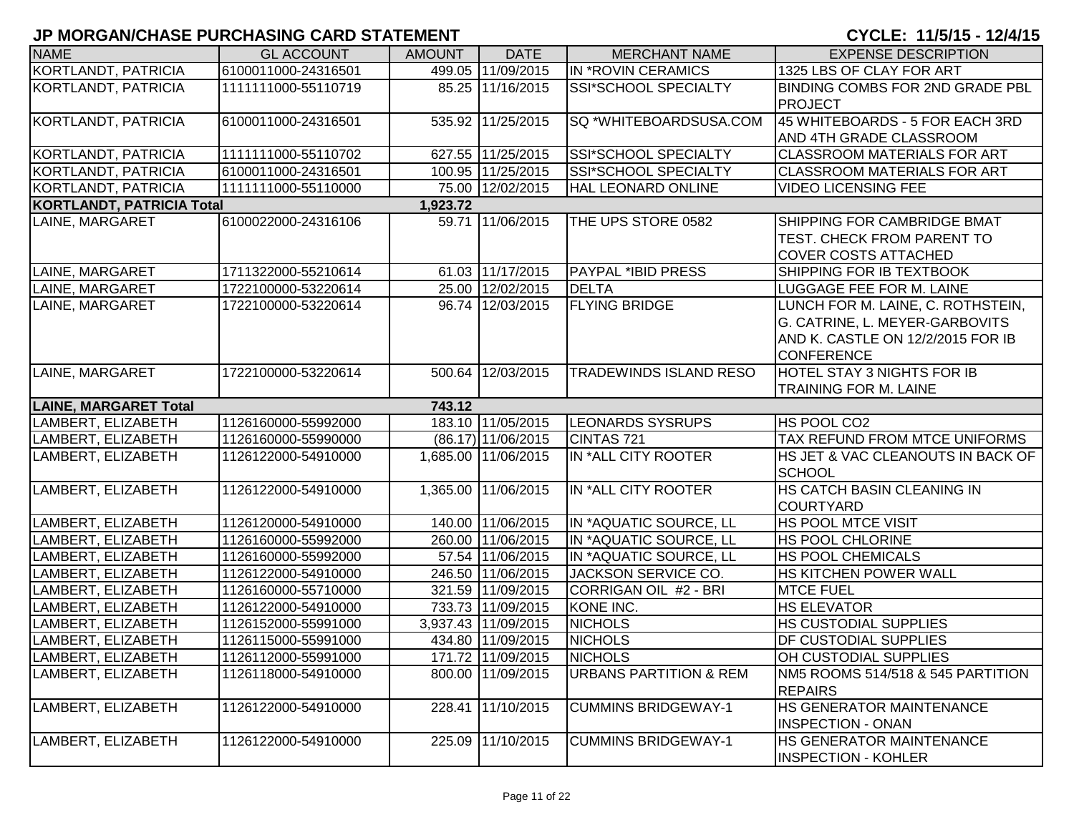| <b>NAME</b>                      | <b>GL ACCOUNT</b>   | <b>AMOUNT</b> | <b>DATE</b>         | <b>MERCHANT NAME</b>              | <b>EXPENSE DESCRIPTION</b>                                 |
|----------------------------------|---------------------|---------------|---------------------|-----------------------------------|------------------------------------------------------------|
| KORTLANDT, PATRICIA              | 6100011000-24316501 |               | 499.05 11/09/2015   | IN *ROVIN CERAMICS                | 1325 LBS OF CLAY FOR ART                                   |
| KORTLANDT, PATRICIA              | 1111111000-55110719 |               | 85.25 11/16/2015    | SSI*SCHOOL SPECIALTY              | BINDING COMBS FOR 2ND GRADE PBL<br><b>PROJECT</b>          |
| KORTLANDT, PATRICIA              | 6100011000-24316501 |               | 535.92 11/25/2015   | SQ *WHITEBOARDSUSA.COM            | 45 WHITEBOARDS - 5 FOR EACH 3RD<br>AND 4TH GRADE CLASSROOM |
| KORTLANDT, PATRICIA              | 1111111000-55110702 |               | 627.55 11/25/2015   | SSI*SCHOOL SPECIALTY              | <b>CLASSROOM MATERIALS FOR ART</b>                         |
| KORTLANDT, PATRICIA              | 6100011000-24316501 |               | 100.95 11/25/2015   | SSI*SCHOOL SPECIALTY              | <b>CLASSROOM MATERIALS FOR ART</b>                         |
| KORTLANDT, PATRICIA              | 1111111000-55110000 |               | 75.00 12/02/2015    | HAL LEONARD ONLINE                | <b>VIDEO LICENSING FEE</b>                                 |
| <b>KORTLANDT, PATRICIA Total</b> |                     | 1,923.72      |                     |                                   |                                                            |
| LAINE, MARGARET                  | 6100022000-24316106 |               | 59.71 11/06/2015    | THE UPS STORE 0582                | SHIPPING FOR CAMBRIDGE BMAT                                |
|                                  |                     |               |                     |                                   | TEST. CHECK FROM PARENT TO                                 |
|                                  |                     |               |                     |                                   | <b>COVER COSTS ATTACHED</b>                                |
| LAINE, MARGARET                  | 1711322000-55210614 |               | 61.03 11/17/2015    | <b>PAYPAL *IBID PRESS</b>         | SHIPPING FOR IB TEXTBOOK                                   |
| LAINE, MARGARET                  | 1722100000-53220614 |               | 25.00 12/02/2015    | <b>DELTA</b>                      | LUGGAGE FEE FOR M. LAINE                                   |
| LAINE, MARGARET                  | 1722100000-53220614 |               | 96.74 12/03/2015    | <b>FLYING BRIDGE</b>              | LUNCH FOR M. LAINE, C. ROTHSTEIN,                          |
|                                  |                     |               |                     |                                   | G. CATRINE, L. MEYER-GARBOVITS                             |
|                                  |                     |               |                     |                                   | AND K. CASTLE ON 12/2/2015 FOR IB                          |
|                                  |                     |               |                     |                                   | <b>CONFERENCE</b>                                          |
| LAINE, MARGARET                  | 1722100000-53220614 |               | 500.64 12/03/2015   | TRADEWINDS ISLAND RESO            | <b>HOTEL STAY 3 NIGHTS FOR IB</b>                          |
|                                  |                     |               |                     |                                   | <b>TRAINING FOR M. LAINE</b>                               |
| <b>LAINE, MARGARET Total</b>     |                     | 743.12        |                     |                                   |                                                            |
| LAMBERT, ELIZABETH               | 1126160000-55992000 |               | 183.10 11/05/2015   | <b>LEONARDS SYSRUPS</b>           | HS POOL CO2                                                |
| LAMBERT, ELIZABETH               | 1126160000-55990000 |               | (86.17) 11/06/2015  | CINTAS 721                        | TAX REFUND FROM MTCE UNIFORMS                              |
| LAMBERT, ELIZABETH               | 1126122000-54910000 |               | 1,685.00 11/06/2015 | IN *ALL CITY ROOTER               | HS JET & VAC CLEANOUTS IN BACK OF<br><b>SCHOOL</b>         |
| LAMBERT, ELIZABETH               | 1126122000-54910000 |               | 1,365.00 11/06/2015 | IN *ALL CITY ROOTER               | HS CATCH BASIN CLEANING IN<br><b>COURTYARD</b>             |
| LAMBERT, ELIZABETH               | 1126120000-54910000 |               | 140.00 11/06/2015   | IN *AQUATIC SOURCE, LL            | HS POOL MTCE VISIT                                         |
| LAMBERT, ELIZABETH               | 1126160000-55992000 |               | 260.00 11/06/2015   | IN *AQUATIC SOURCE, LL            | HS POOL CHLORINE                                           |
| LAMBERT, ELIZABETH               | 1126160000-55992000 |               | 57.54 11/06/2015    | IN *AQUATIC SOURCE, LL            | <b>HS POOL CHEMICALS</b>                                   |
| LAMBERT, ELIZABETH               | 1126122000-54910000 |               | 246.50 11/06/2015   | JACKSON SERVICE CO.               | HS KITCHEN POWER WALL                                      |
| LAMBERT, ELIZABETH               | 1126160000-55710000 |               | 321.59 11/09/2015   | CORRIGAN OIL #2 - BRI             | <b>MTCE FUEL</b>                                           |
| LAMBERT, ELIZABETH               | 1126122000-54910000 |               | 733.73 11/09/2015   | KONE INC.                         | <b>HS ELEVATOR</b>                                         |
| LAMBERT, ELIZABETH               | 1126152000-55991000 |               | 3,937.43 11/09/2015 | <b>NICHOLS</b>                    | HS CUSTODIAL SUPPLIES                                      |
| LAMBERT, ELIZABETH               | 1126115000-55991000 |               | 434.80 11/09/2015   | <b>NICHOLS</b>                    | DF CUSTODIAL SUPPLIES                                      |
| LAMBERT, ELIZABETH               | 1126112000-55991000 |               | 171.72 11/09/2015   | <b>NICHOLS</b>                    | <b>OH CUSTODIAL SUPPLIES</b>                               |
| LAMBERT, ELIZABETH               | 1126118000-54910000 |               | 800.00 11/09/2015   | <b>URBANS PARTITION &amp; REM</b> | NM5 ROOMS 514/518 & 545 PARTITION<br><b>REPAIRS</b>        |
| LAMBERT, ELIZABETH               | 1126122000-54910000 |               | 228.41 11/10/2015   | <b>CUMMINS BRIDGEWAY-1</b>        | HS GENERATOR MAINTENANCE<br><b>INSPECTION - ONAN</b>       |
| LAMBERT, ELIZABETH               | 1126122000-54910000 |               | 225.09 11/10/2015   | <b>CUMMINS BRIDGEWAY-1</b>        | HS GENERATOR MAINTENANCE<br><b>INSPECTION - KOHLER</b>     |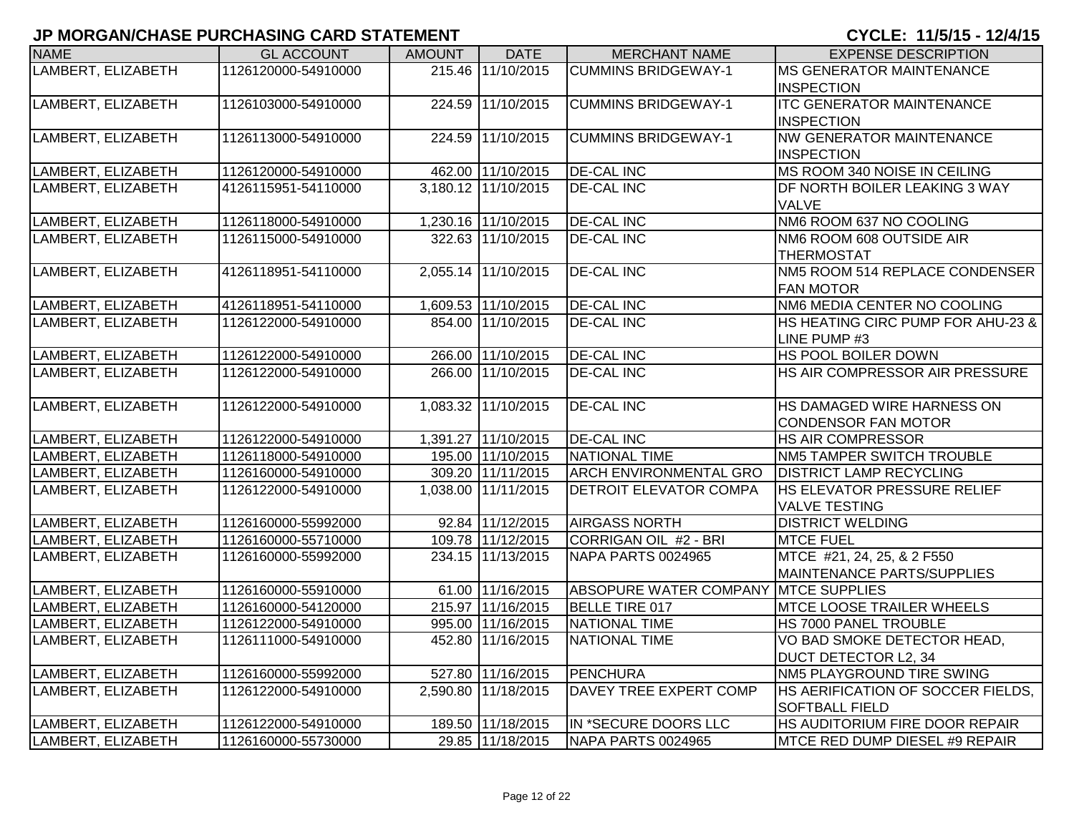| <b>NAME</b>        | <b>GL ACCOUNT</b>   | <b>AMOUNT</b> | <b>DATE</b>         | <b>MERCHANT NAME</b>          | <b>EXPENSE DESCRIPTION</b>         |
|--------------------|---------------------|---------------|---------------------|-------------------------------|------------------------------------|
| LAMBERT, ELIZABETH | 1126120000-54910000 |               | 215.46 11/10/2015   | <b>CUMMINS BRIDGEWAY-1</b>    | <b>MS GENERATOR MAINTENANCE</b>    |
|                    |                     |               |                     |                               | <b>INSPECTION</b>                  |
| LAMBERT, ELIZABETH | 1126103000-54910000 |               | 224.59 11/10/2015   | <b>CUMMINS BRIDGEWAY-1</b>    | <b>ITC GENERATOR MAINTENANCE</b>   |
|                    |                     |               |                     |                               | <b>INSPECTION</b>                  |
| LAMBERT, ELIZABETH | 1126113000-54910000 |               | 224.59 11/10/2015   | <b>CUMMINS BRIDGEWAY-1</b>    | <b>NW GENERATOR MAINTENANCE</b>    |
|                    |                     |               |                     |                               | <b>INSPECTION</b>                  |
| LAMBERT, ELIZABETH | 1126120000-54910000 |               | 462.00 11/10/2015   | <b>DE-CAL INC</b>             | MS ROOM 340 NOISE IN CEILING       |
| LAMBERT, ELIZABETH | 4126115951-54110000 |               | 3,180.12 11/10/2015 | <b>DE-CAL INC</b>             | DF NORTH BOILER LEAKING 3 WAY      |
|                    |                     |               |                     |                               | <b>VALVE</b>                       |
| LAMBERT, ELIZABETH | 1126118000-54910000 |               | 1,230.16 11/10/2015 | <b>DE-CAL INC</b>             | NM6 ROOM 637 NO COOLING            |
| LAMBERT, ELIZABETH | 1126115000-54910000 |               | 322.63 11/10/2015   | <b>DE-CAL INC</b>             | NM6 ROOM 608 OUTSIDE AIR           |
|                    |                     |               |                     |                               | <b>THERMOSTAT</b>                  |
| LAMBERT, ELIZABETH | 4126118951-54110000 |               | 2,055.14 11/10/2015 | <b>DE-CAL INC</b>             | NM5 ROOM 514 REPLACE CONDENSER     |
|                    |                     |               |                     |                               | <b>FAN MOTOR</b>                   |
| LAMBERT, ELIZABETH | 4126118951-54110000 |               | 1,609.53 11/10/2015 | <b>DE-CAL INC</b>             | NM6 MEDIA CENTER NO COOLING        |
| LAMBERT, ELIZABETH | 1126122000-54910000 |               | 854.00 11/10/2015   | <b>DE-CAL INC</b>             | HS HEATING CIRC PUMP FOR AHU-23 &  |
|                    |                     |               |                     |                               | LINE PUMP #3                       |
| LAMBERT, ELIZABETH | 1126122000-54910000 |               | 266.00 11/10/2015   | <b>DE-CAL INC</b>             | HS POOL BOILER DOWN                |
| LAMBERT, ELIZABETH | 1126122000-54910000 |               | 266.00 11/10/2015   | <b>DE-CAL INC</b>             | HS AIR COMPRESSOR AIR PRESSURE     |
|                    |                     |               |                     |                               |                                    |
| LAMBERT, ELIZABETH | 1126122000-54910000 |               | 1,083.32 11/10/2015 | <b>DE-CAL INC</b>             | HS DAMAGED WIRE HARNESS ON         |
|                    |                     |               |                     |                               | <b>CONDENSOR FAN MOTOR</b>         |
| LAMBERT, ELIZABETH | 1126122000-54910000 |               | 1,391.27 11/10/2015 | <b>DE-CAL INC</b>             | HS AIR COMPRESSOR                  |
| LAMBERT, ELIZABETH | 1126118000-54910000 |               | 195.00 11/10/2015   | NATIONAL TIME                 | NM5 TAMPER SWITCH TROUBLE          |
| LAMBERT, ELIZABETH | 1126160000-54910000 |               | 309.20 11/11/2015   | <b>ARCH ENVIRONMENTAL GRO</b> | <b>DISTRICT LAMP RECYCLING</b>     |
| LAMBERT, ELIZABETH | 1126122000-54910000 |               | 1,038.00 11/11/2015 | <b>DETROIT ELEVATOR COMPA</b> | <b>HS ELEVATOR PRESSURE RELIEF</b> |
|                    |                     |               |                     |                               | <b>VALVE TESTING</b>               |
| LAMBERT, ELIZABETH | 1126160000-55992000 |               | 92.84 11/12/2015    | <b>AIRGASS NORTH</b>          | <b>DISTRICT WELDING</b>            |
| LAMBERT, ELIZABETH | 1126160000-55710000 |               | 109.78 11/12/2015   | CORRIGAN OIL #2 - BRI         | <b>MTCE FUEL</b>                   |
| LAMBERT, ELIZABETH | 1126160000-55992000 |               | 234.15 11/13/2015   | NAPA PARTS 0024965            | MTCE #21, 24, 25, & 2 F550         |
|                    |                     |               |                     |                               | MAINTENANCE PARTS/SUPPLIES         |
| LAMBERT, ELIZABETH | 1126160000-55910000 |               | 61.00 11/16/2015    | <b>ABSOPURE WATER COMPANY</b> | <b>MTCE SUPPLIES</b>               |
| LAMBERT, ELIZABETH | 1126160000-54120000 |               | 215.97 11/16/2015   | BELLE TIRE 017                | MTCE LOOSE TRAILER WHEELS          |
| LAMBERT, ELIZABETH | 1126122000-54910000 |               | 995.00 11/16/2015   | NATIONAL TIME                 | HS 7000 PANEL TROUBLE              |
| LAMBERT, ELIZABETH | 1126111000-54910000 |               | 452.80 11/16/2015   | NATIONAL TIME                 | VO BAD SMOKE DETECTOR HEAD,        |
|                    |                     |               |                     |                               | <b>DUCT DETECTOR L2, 34</b>        |
| LAMBERT, ELIZABETH | 1126160000-55992000 |               | 527.80 11/16/2015   | PENCHURA                      | NM5 PLAYGROUND TIRE SWING          |
| LAMBERT, ELIZABETH | 1126122000-54910000 |               | 2,590.80 11/18/2015 | DAVEY TREE EXPERT COMP        | HS AERIFICATION OF SOCCER FIELDS,  |
|                    |                     |               |                     |                               | <b>SOFTBALL FIELD</b>              |
| LAMBERT, ELIZABETH | 1126122000-54910000 |               | 189.50 11/18/2015   | IN *SECURE DOORS LLC          | HS AUDITORIUM FIRE DOOR REPAIR     |
| LAMBERT, ELIZABETH | 1126160000-55730000 |               | 29.85 11/18/2015    | NAPA PARTS 0024965            | MTCE RED DUMP DIESEL #9 REPAIR     |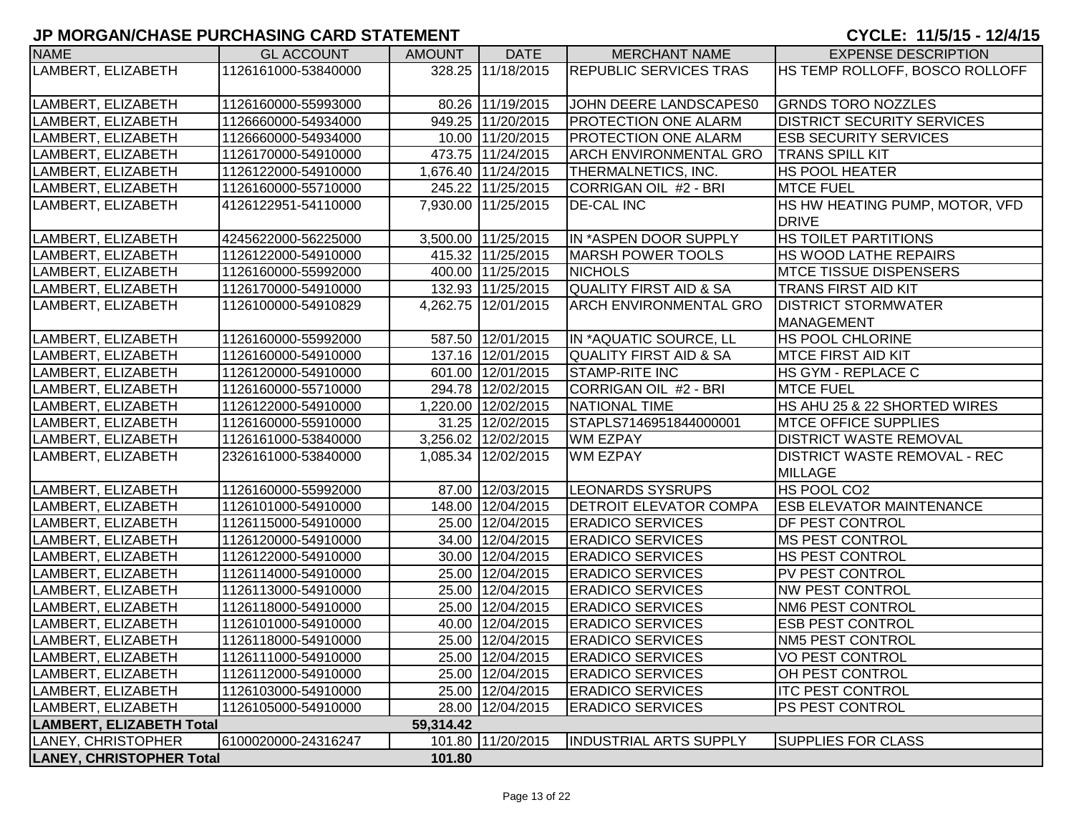| <b>NAME</b>                     | <b>GL ACCOUNT</b>   | <b>AMOUNT</b> | <b>DATE</b>         | <b>MERCHANT NAME</b>              | <b>EXPENSE DESCRIPTION</b>          |
|---------------------------------|---------------------|---------------|---------------------|-----------------------------------|-------------------------------------|
| LAMBERT, ELIZABETH              | 1126161000-53840000 |               | 328.25 11/18/2015   | <b>REPUBLIC SERVICES TRAS</b>     | HS TEMP ROLLOFF, BOSCO ROLLOFF      |
|                                 |                     |               |                     |                                   |                                     |
| LAMBERT, ELIZABETH              | 1126160000-55993000 |               | 80.26 11/19/2015    | JOHN DEERE LANDSCAPES0            | <b>GRNDS TORO NOZZLES</b>           |
| LAMBERT, ELIZABETH              | 1126660000-54934000 |               | 949.25 11/20/2015   | <b>PROTECTION ONE ALARM</b>       | <b>DISTRICT SECURITY SERVICES</b>   |
| LAMBERT, ELIZABETH              | 1126660000-54934000 |               | 10.00 11/20/2015    | <b>PROTECTION ONE ALARM</b>       | <b>ESB SECURITY SERVICES</b>        |
| LAMBERT, ELIZABETH              | 1126170000-54910000 |               | 473.75 11/24/2015   | <b>ARCH ENVIRONMENTAL GRO</b>     | <b>TRANS SPILL KIT</b>              |
| LAMBERT, ELIZABETH              | 1126122000-54910000 |               | 1,676.40 11/24/2015 | THERMALNETICS, INC.               | HS POOL HEATER                      |
| LAMBERT, ELIZABETH              | 1126160000-55710000 |               | 245.22 11/25/2015   | CORRIGAN OIL #2 - BRI             | <b>MTCE FUEL</b>                    |
| LAMBERT, ELIZABETH              | 4126122951-54110000 |               | 7,930.00 11/25/2015 | <b>DE-CAL INC</b>                 | HS HW HEATING PUMP, MOTOR, VFD      |
|                                 |                     |               |                     |                                   | <b>DRIVE</b>                        |
| LAMBERT, ELIZABETH              | 4245622000-56225000 |               | 3,500.00 11/25/2015 | IN *ASPEN DOOR SUPPLY             | HS TOILET PARTITIONS                |
| LAMBERT, ELIZABETH              | 1126122000-54910000 |               | 415.32 11/25/2015   | <b>MARSH POWER TOOLS</b>          | HS WOOD LATHE REPAIRS               |
| LAMBERT, ELIZABETH              | 1126160000-55992000 |               | 400.00 11/25/2015   | <b>NICHOLS</b>                    | <b>MTCE TISSUE DISPENSERS</b>       |
| LAMBERT, ELIZABETH              | 1126170000-54910000 |               | 132.93 11/25/2015   | <b>QUALITY FIRST AID &amp; SA</b> | TRANS FIRST AID KIT                 |
| LAMBERT, ELIZABETH              | 1126100000-54910829 |               | 4,262.75 12/01/2015 | ARCH ENVIRONMENTAL GRO            | <b>DISTRICT STORMWATER</b>          |
|                                 |                     |               |                     |                                   | <b>MANAGEMENT</b>                   |
| LAMBERT, ELIZABETH              | 1126160000-55992000 |               | 587.50 12/01/2015   | IN *AQUATIC SOURCE, LL            | HS POOL CHLORINE                    |
| LAMBERT, ELIZABETH              | 1126160000-54910000 |               | 137.16 12/01/2015   | <b>QUALITY FIRST AID &amp; SA</b> | MTCE FIRST AID KIT                  |
| LAMBERT, ELIZABETH              | 1126120000-54910000 |               | 601.00 12/01/2015   | <b>STAMP-RITE INC</b>             | HS GYM - REPLACE C                  |
| LAMBERT, ELIZABETH              | 1126160000-55710000 |               | 294.78 12/02/2015   | CORRIGAN OIL #2 - BRI             | <b>MTCE FUEL</b>                    |
| LAMBERT, ELIZABETH              | 1126122000-54910000 |               | 1,220.00 12/02/2015 | <b>NATIONAL TIME</b>              | HS AHU 25 & 22 SHORTED WIRES        |
| LAMBERT, ELIZABETH              | 1126160000-55910000 |               | 31.25 12/02/2015    | STAPLS7146951844000001            | <b>MTCE OFFICE SUPPLIES</b>         |
| LAMBERT, ELIZABETH              | 1126161000-53840000 |               | 3,256.02 12/02/2015 | <b>WM EZPAY</b>                   | <b>DISTRICT WASTE REMOVAL</b>       |
| LAMBERT, ELIZABETH              | 2326161000-53840000 |               | 1,085.34 12/02/2015 | <b>WM EZPAY</b>                   | <b>DISTRICT WASTE REMOVAL - REC</b> |
|                                 |                     |               |                     |                                   | <b>MILLAGE</b>                      |
| LAMBERT, ELIZABETH              | 1126160000-55992000 |               | 87.00 12/03/2015    | <b>LEONARDS SYSRUPS</b>           | HS POOL CO2                         |
| LAMBERT, ELIZABETH              | 1126101000-54910000 |               | 148.00 12/04/2015   | <b>DETROIT ELEVATOR COMPA</b>     | <b>ESB ELEVATOR MAINTENANCE</b>     |
| LAMBERT, ELIZABETH              | 1126115000-54910000 |               | 25.00 12/04/2015    | <b>ERADICO SERVICES</b>           | DF PEST CONTROL                     |
| LAMBERT, ELIZABETH              | 1126120000-54910000 |               | 34.00 12/04/2015    | <b>ERADICO SERVICES</b>           | <b>MS PEST CONTROL</b>              |
| LAMBERT, ELIZABETH              | 1126122000-54910000 |               | 30.00 12/04/2015    | <b>ERADICO SERVICES</b>           | HS PEST CONTROL                     |
| LAMBERT, ELIZABETH              | 1126114000-54910000 |               | 25.00 12/04/2015    | <b>ERADICO SERVICES</b>           | PV PEST CONTROL                     |
| LAMBERT, ELIZABETH              | 1126113000-54910000 |               | 25.00 12/04/2015    | <b>ERADICO SERVICES</b>           | <b>NW PEST CONTROL</b>              |
| LAMBERT, ELIZABETH              | 1126118000-54910000 |               | 25.00 12/04/2015    | <b>ERADICO SERVICES</b>           | NM6 PEST CONTROL                    |
| LAMBERT, ELIZABETH              | 1126101000-54910000 |               | 40.00 12/04/2015    | <b>ERADICO SERVICES</b>           | <b>ESB PEST CONTROL</b>             |
| LAMBERT, ELIZABETH              | 1126118000-54910000 |               | 25.00 12/04/2015    | <b>ERADICO SERVICES</b>           | NM5 PEST CONTROL                    |
| LAMBERT, ELIZABETH              | 1126111000-54910000 |               | 25.00 12/04/2015    | <b>ERADICO SERVICES</b>           | <b>VO PEST CONTROL</b>              |
| LAMBERT, ELIZABETH              | 1126112000-54910000 |               | 25.00 12/04/2015    | <b>ERADICO SERVICES</b>           | OH PEST CONTROL                     |
| LAMBERT, ELIZABETH              | 1126103000-54910000 |               | 25.00 12/04/2015    | <b>ERADICO SERVICES</b>           | <b>ITC PEST CONTROL</b>             |
| LAMBERT, ELIZABETH              | 1126105000-54910000 |               | 28.00 12/04/2015    | <b>ERADICO SERVICES</b>           | <b>PS PEST CONTROL</b>              |
| <b>LAMBERT, ELIZABETH Total</b> |                     | 59,314.42     |                     |                                   |                                     |
| LANEY, CHRISTOPHER              | 6100020000-24316247 |               | 101.80 11/20/2015   | <b>INDUSTRIAL ARTS SUPPLY</b>     | <b>SUPPLIES FOR CLASS</b>           |
| <b>LANEY, CHRISTOPHER Total</b> |                     | 101.80        |                     |                                   |                                     |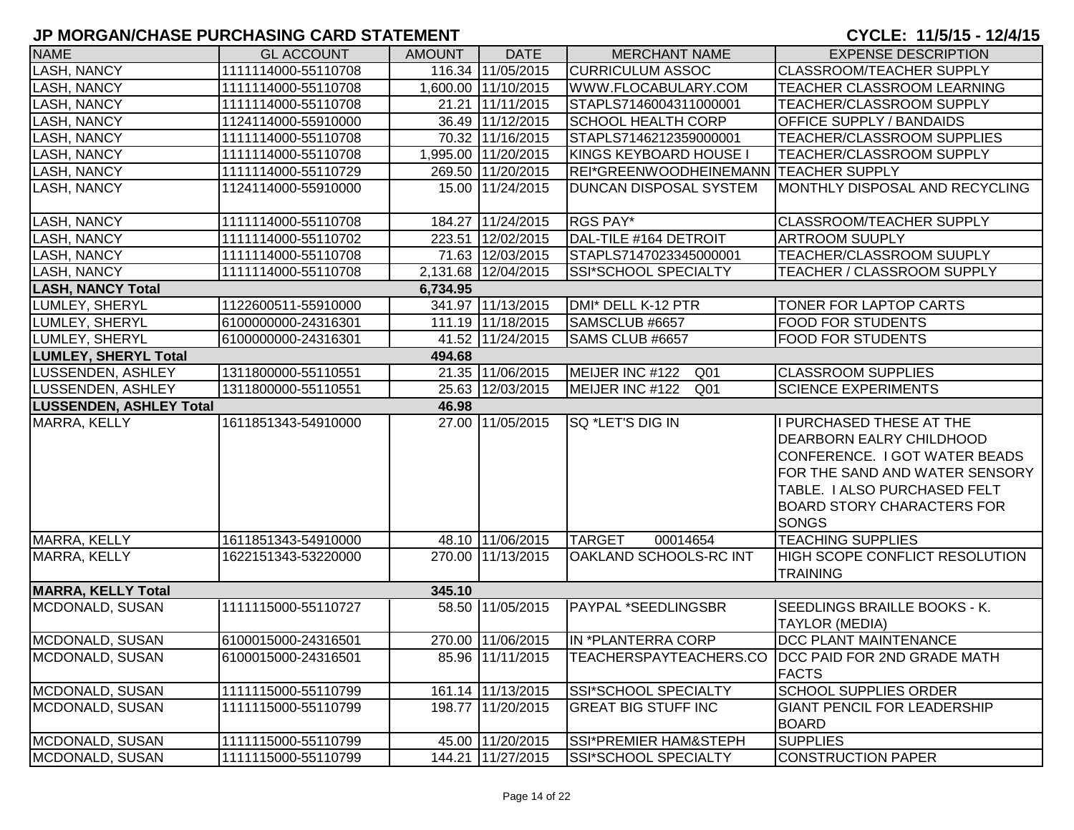| <b>NAME</b>                    | <b>GL ACCOUNT</b>   | <b>AMOUNT</b> | <b>DATE</b>         | <b>MERCHANT NAME</b>                  | <b>EXPENSE DESCRIPTION</b>                                                                                                                                                                                   |
|--------------------------------|---------------------|---------------|---------------------|---------------------------------------|--------------------------------------------------------------------------------------------------------------------------------------------------------------------------------------------------------------|
| <b>LASH, NANCY</b>             | 1111114000-55110708 |               | 116.34 11/05/2015   | <b>CURRICULUM ASSOC</b>               | <b>CLASSROOM/TEACHER SUPPLY</b>                                                                                                                                                                              |
| <b>LASH, NANCY</b>             | 1111114000-55110708 |               | 1,600.00 11/10/2015 | WWW.FLOCABULARY.COM                   | <b>TEACHER CLASSROOM LEARNING</b>                                                                                                                                                                            |
| <b>LASH, NANCY</b>             | 1111114000-55110708 |               | 21.21 11/11/2015    | STAPLS7146004311000001                | <b>TEACHER/CLASSROOM SUPPLY</b>                                                                                                                                                                              |
| <b>LASH, NANCY</b>             | 1124114000-55910000 |               | 36.49 11/12/2015    | <b>SCHOOL HEALTH CORP</b>             | <b>OFFICE SUPPLY / BANDAIDS</b>                                                                                                                                                                              |
| <b>LASH, NANCY</b>             | 1111114000-55110708 |               | 70.32 11/16/2015    | STAPLS7146212359000001                | TEACHER/CLASSROOM SUPPLIES                                                                                                                                                                                   |
| <b>LASH, NANCY</b>             | 1111114000-55110708 |               | 1,995.00 11/20/2015 | KINGS KEYBOARD HOUSE I                | TEACHER/CLASSROOM SUPPLY                                                                                                                                                                                     |
| <b>LASH, NANCY</b>             | 1111114000-55110729 |               | 269.50 11/20/2015   | REI*GREENWOODHEINEMANN TEACHER SUPPLY |                                                                                                                                                                                                              |
| <b>LASH, NANCY</b>             | 1124114000-55910000 |               | 15.00 11/24/2015    | <b>DUNCAN DISPOSAL SYSTEM</b>         | MONTHLY DISPOSAL AND RECYCLING                                                                                                                                                                               |
| <b>LASH, NANCY</b>             | 1111114000-55110708 |               | 184.27 11/24/2015   | RGS PAY*                              | <b>CLASSROOM/TEACHER SUPPLY</b>                                                                                                                                                                              |
| <b>LASH, NANCY</b>             | 1111114000-55110702 |               | 223.51 12/02/2015   | DAL-TILE #164 DETROIT                 | <b>ARTROOM SUUPLY</b>                                                                                                                                                                                        |
| <b>LASH, NANCY</b>             | 1111114000-55110708 |               | 71.63 12/03/2015    | STAPLS7147023345000001                | TEACHER/CLASSROOM SUUPLY                                                                                                                                                                                     |
| <b>LASH, NANCY</b>             | 1111114000-55110708 |               | 2,131.68 12/04/2015 | SSI*SCHOOL SPECIALTY                  | TEACHER / CLASSROOM SUPPLY                                                                                                                                                                                   |
| <b>LASH, NANCY Total</b>       |                     | 6,734.95      |                     |                                       |                                                                                                                                                                                                              |
| LUMLEY, SHERYL                 | 1122600511-55910000 |               | 341.97 11/13/2015   | DMI* DELL K-12 PTR                    | <b>TONER FOR LAPTOP CARTS</b>                                                                                                                                                                                |
| LUMLEY, SHERYL                 | 6100000000-24316301 |               | 111.19 11/18/2015   | SAMSCLUB #6657                        | <b>FOOD FOR STUDENTS</b>                                                                                                                                                                                     |
| LUMLEY, SHERYL                 | 6100000000-24316301 |               | 41.52 11/24/2015    | SAMS CLUB #6657                       | <b>FOOD FOR STUDENTS</b>                                                                                                                                                                                     |
| <b>LUMLEY, SHERYL Total</b>    |                     | 494.68        |                     |                                       |                                                                                                                                                                                                              |
| LUSSENDEN, ASHLEY              | 1311800000-55110551 |               | 21.35 11/06/2015    | MEIJER INC #122<br>Q01                | <b>CLASSROOM SUPPLIES</b>                                                                                                                                                                                    |
| <b>LUSSENDEN, ASHLEY</b>       | 1311800000-55110551 |               | 25.63 12/03/2015    | MEIJER INC #122<br>Q01                | <b>SCIENCE EXPERIMENTS</b>                                                                                                                                                                                   |
| <b>LUSSENDEN, ASHLEY Total</b> |                     | 46.98         |                     |                                       |                                                                                                                                                                                                              |
| MARRA, KELLY                   | 1611851343-54910000 |               | 27.00 11/05/2015    | <b>SQ *LET'S DIG IN</b>               | I PURCHASED THESE AT THE<br>DEARBORN EALRY CHILDHOOD<br>CONFERENCE. I GOT WATER BEADS<br>FOR THE SAND AND WATER SENSORY<br>TABLE. I ALSO PURCHASED FELT<br><b>BOARD STORY CHARACTERS FOR</b><br><b>SONGS</b> |
| MARRA, KELLY                   | 1611851343-54910000 |               | 48.10 11/06/2015    | <b>TARGET</b><br>00014654             | <b>TEACHING SUPPLIES</b>                                                                                                                                                                                     |
| MARRA, KELLY                   | 1622151343-53220000 |               | 270.00 11/13/2015   | OAKLAND SCHOOLS-RC INT                | HIGH SCOPE CONFLICT RESOLUTION<br><b>TRAINING</b>                                                                                                                                                            |
| <b>MARRA, KELLY Total</b>      |                     | 345.10        |                     |                                       |                                                                                                                                                                                                              |
| MCDONALD, SUSAN                | 1111115000-55110727 |               | 58.50 11/05/2015    | PAYPAL *SEEDLINGSBR                   | SEEDLINGS BRAILLE BOOKS - K.<br><b>TAYLOR (MEDIA)</b>                                                                                                                                                        |
| MCDONALD, SUSAN                | 6100015000-24316501 |               | 270.00 11/06/2015   | IN *PLANTERRA CORP                    | DCC PLANT MAINTENANCE                                                                                                                                                                                        |
| MCDONALD, SUSAN                | 6100015000-24316501 |               | 85.96 11/11/2015    |                                       | TEACHERSPAYTEACHERS.CO  DCC PAID FOR 2ND GRADE MATH<br><b>FACTS</b>                                                                                                                                          |
| MCDONALD, SUSAN                | 1111115000-55110799 |               | 161.14 11/13/2015   | SSI*SCHOOL SPECIALTY                  | <b>SCHOOL SUPPLIES ORDER</b>                                                                                                                                                                                 |
| MCDONALD, SUSAN                | 1111115000-55110799 |               | 198.77 11/20/2015   | <b>GREAT BIG STUFF INC</b>            | <b>GIANT PENCIL FOR LEADERSHIP</b><br><b>BOARD</b>                                                                                                                                                           |
| MCDONALD, SUSAN                | 1111115000-55110799 |               | 45.00 11/20/2015    | SSI*PREMIER HAM&STEPH                 | <b>SUPPLIES</b>                                                                                                                                                                                              |
| MCDONALD, SUSAN                | 1111115000-55110799 |               | 144.21 11/27/2015   | SSI*SCHOOL SPECIALTY                  | CONSTRUCTION PAPER                                                                                                                                                                                           |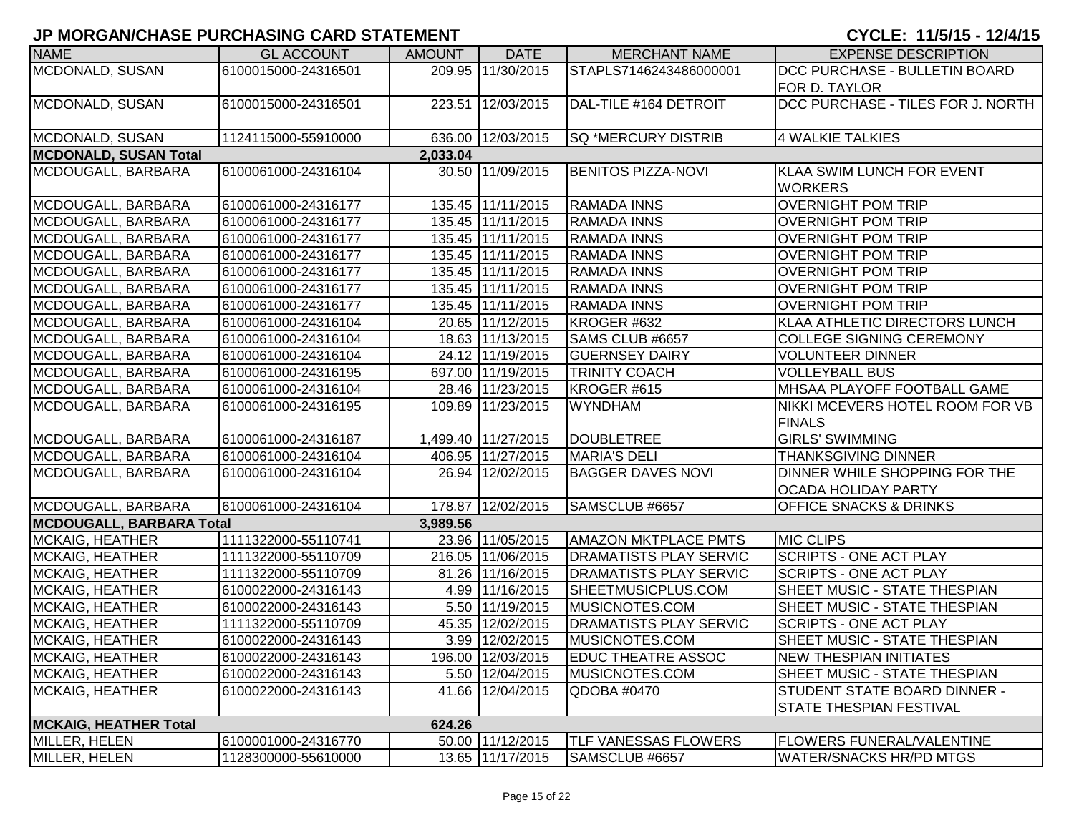| <b>NAME</b>                     | <b>GL ACCOUNT</b>   | <b>AMOUNT</b> | <b>DATE</b>         | <b>MERCHANT NAME</b>          | <b>EXPENSE DESCRIPTION</b>        |
|---------------------------------|---------------------|---------------|---------------------|-------------------------------|-----------------------------------|
| MCDONALD, SUSAN                 | 6100015000-24316501 |               | 209.95 11/30/2015   | STAPLS7146243486000001        | DCC PURCHASE - BULLETIN BOARD     |
|                                 |                     |               |                     |                               | <b>FOR D. TAYLOR</b>              |
| MCDONALD, SUSAN                 | 6100015000-24316501 |               | 223.51 12/03/2015   | DAL-TILE #164 DETROIT         | DCC PURCHASE - TILES FOR J. NORTH |
|                                 |                     |               |                     |                               |                                   |
| MCDONALD, SUSAN                 | 1124115000-55910000 |               | 636.00 12/03/2015   | SQ *MERCURY DISTRIB           | 4 WALKIE TALKIES                  |
| <b>MCDONALD, SUSAN Total</b>    |                     | 2,033.04      |                     |                               |                                   |
| MCDOUGALL, BARBARA              | 6100061000-24316104 |               | 30.50 11/09/2015    | <b>BENITOS PIZZA-NOVI</b>     | <b>KLAA SWIM LUNCH FOR EVENT</b>  |
|                                 |                     |               |                     |                               | <b>WORKERS</b>                    |
| MCDOUGALL, BARBARA              | 6100061000-24316177 |               | 135.45 11/11/2015   | <b>RAMADA INNS</b>            | <b>OVERNIGHT POM TRIP</b>         |
| MCDOUGALL, BARBARA              | 6100061000-24316177 |               | 135.45 11/11/2015   | <b>RAMADA INNS</b>            | <b>OVERNIGHT POM TRIP</b>         |
| MCDOUGALL, BARBARA              | 6100061000-24316177 |               | 135.45 11/11/2015   | <b>RAMADA INNS</b>            | <b>OVERNIGHT POM TRIP</b>         |
| MCDOUGALL, BARBARA              | 6100061000-24316177 |               | 135.45 11/11/2015   | <b>RAMADA INNS</b>            | <b>OVERNIGHT POM TRIP</b>         |
| MCDOUGALL, BARBARA              | 6100061000-24316177 |               | 135.45 11/11/2015   | <b>RAMADA INNS</b>            | <b>OVERNIGHT POM TRIP</b>         |
| MCDOUGALL, BARBARA              | 6100061000-24316177 |               | 135.45 11/11/2015   | RAMADA INNS                   | <b>OVERNIGHT POM TRIP</b>         |
| MCDOUGALL, BARBARA              | 6100061000-24316177 |               | 135.45 11/11/2015   | <b>RAMADA INNS</b>            | <b>OVERNIGHT POM TRIP</b>         |
| MCDOUGALL, BARBARA              | 6100061000-24316104 |               | 20.65 11/12/2015    | KROGER #632                   | KLAA ATHLETIC DIRECTORS LUNCH     |
| MCDOUGALL, BARBARA              | 6100061000-24316104 |               | 18.63 11/13/2015    | SAMS CLUB #6657               | <b>COLLEGE SIGNING CEREMONY</b>   |
| MCDOUGALL, BARBARA              | 6100061000-24316104 |               | 24.12 11/19/2015    | <b>GUERNSEY DAIRY</b>         | <b>VOLUNTEER DINNER</b>           |
| MCDOUGALL, BARBARA              | 6100061000-24316195 |               | 697.00 11/19/2015   | <b>TRINITY COACH</b>          | <b>VOLLEYBALL BUS</b>             |
| MCDOUGALL, BARBARA              | 6100061000-24316104 |               | 28.46 11/23/2015    | KROGER #615                   | MHSAA PLAYOFF FOOTBALL GAME       |
| MCDOUGALL, BARBARA              | 6100061000-24316195 |               | 109.89 11/23/2015   | <b>WYNDHAM</b>                | NIKKI MCEVERS HOTEL ROOM FOR VB   |
|                                 |                     |               |                     |                               | <b>FINALS</b>                     |
| MCDOUGALL, BARBARA              | 6100061000-24316187 |               | 1,499.40 11/27/2015 | <b>DOUBLETREE</b>             | <b>GIRLS' SWIMMING</b>            |
| MCDOUGALL, BARBARA              | 6100061000-24316104 |               | 406.95 11/27/2015   | <b>MARIA'S DELI</b>           | <b>THANKSGIVING DINNER</b>        |
| MCDOUGALL, BARBARA              | 6100061000-24316104 |               | 26.94 12/02/2015    | <b>BAGGER DAVES NOVI</b>      | DINNER WHILE SHOPPING FOR THE     |
|                                 |                     |               |                     |                               | <b>OCADA HOLIDAY PARTY</b>        |
| MCDOUGALL, BARBARA              | 6100061000-24316104 |               | 178.87 12/02/2015   | SAMSCLUB #6657                | OFFICE SNACKS & DRINKS            |
| <b>MCDOUGALL, BARBARA Total</b> |                     | 3,989.56      |                     |                               |                                   |
| <b>MCKAIG, HEATHER</b>          | 1111322000-55110741 |               | 23.96 11/05/2015    | <b>AMAZON MKTPLACE PMTS</b>   | <b>MIC CLIPS</b>                  |
| <b>MCKAIG, HEATHER</b>          | 1111322000-55110709 |               | 216.05 11/06/2015   | <b>DRAMATISTS PLAY SERVIC</b> | <b>SCRIPTS - ONE ACT PLAY</b>     |
| MCKAIG, HEATHER                 | 1111322000-55110709 |               | 81.26 11/16/2015    | <b>DRAMATISTS PLAY SERVIC</b> | SCRIPTS - ONE ACT PLAY            |
| <b>MCKAIG, HEATHER</b>          | 6100022000-24316143 |               | 4.99 11/16/2015     | SHEETMUSICPLUS.COM            | SHEET MUSIC - STATE THESPIAN      |
| <b>MCKAIG, HEATHER</b>          | 6100022000-24316143 |               | 5.50 11/19/2015     | MUSICNOTES.COM                | SHEET MUSIC - STATE THESPIAN      |
| <b>MCKAIG, HEATHER</b>          | 1111322000-55110709 |               | 45.35 12/02/2015    | <b>DRAMATISTS PLAY SERVIC</b> | SCRIPTS - ONE ACT PLAY            |
| <b>MCKAIG, HEATHER</b>          | 6100022000-24316143 |               | 3.99 12/02/2015     | MUSICNOTES.COM                | SHEET MUSIC - STATE THESPIAN      |
| <b>MCKAIG, HEATHER</b>          | 6100022000-24316143 |               | 196.00 12/03/2015   | <b>EDUC THEATRE ASSOC</b>     | <b>NEW THESPIAN INITIATES</b>     |
| MCKAIG, HEATHER                 | 6100022000-24316143 |               | 5.50 12/04/2015     | MUSICNOTES.COM                | SHEET MUSIC - STATE THESPIAN      |
| <b>MCKAIG, HEATHER</b>          | 6100022000-24316143 |               | 41.66 12/04/2015    | QDOBA #0470                   | STUDENT STATE BOARD DINNER -      |
|                                 |                     |               |                     |                               | <b>STATE THESPIAN FESTIVAL</b>    |
| <b>MCKAIG, HEATHER Total</b>    |                     | 624.26        |                     |                               |                                   |
| MILLER, HELEN                   | 6100001000-24316770 |               | 50.00 11/12/2015    | TLF VANESSAS FLOWERS          | FLOWERS FUNERAL/VALENTINE         |
| MILLER, HELEN                   | 1128300000-55610000 |               | 13.65 11/17/2015    | SAMSCLUB #6657                | <b>WATER/SNACKS HR/PD MTGS</b>    |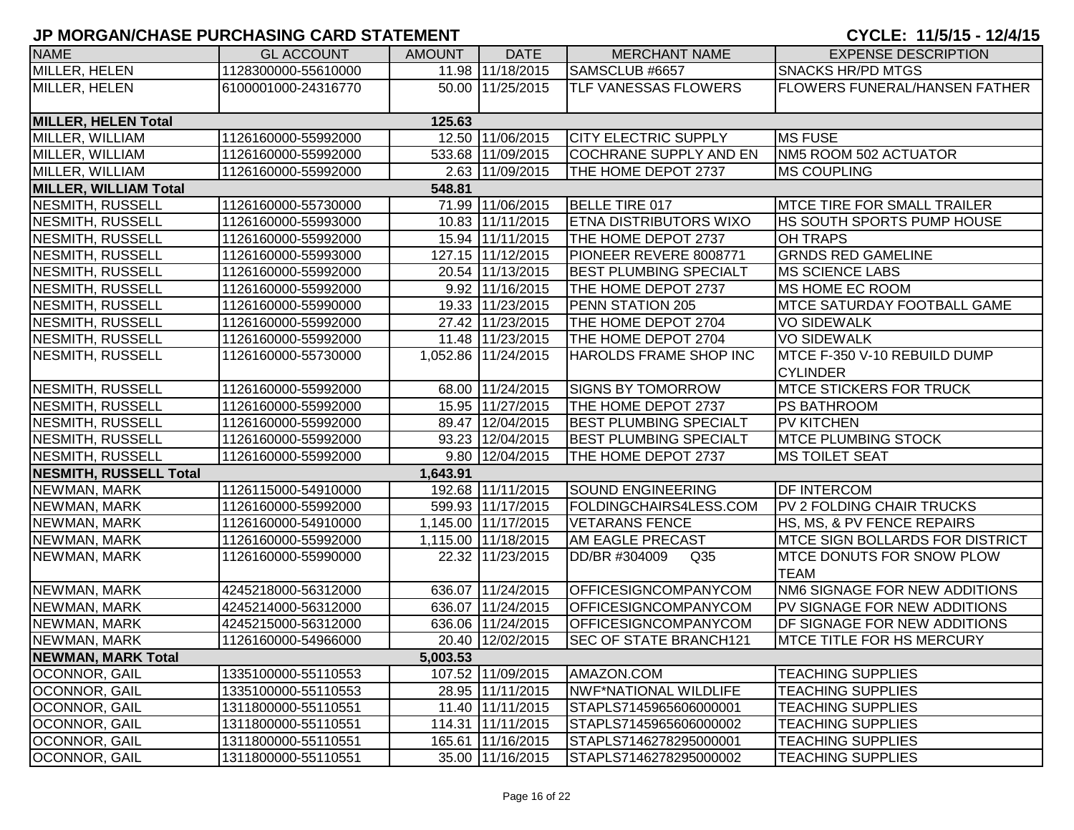| <b>NAME</b>                   | <b>GL ACCOUNT</b>   | <b>AMOUNT</b> | <b>DATE</b>         | <b>MERCHANT NAME</b>             | <b>EXPENSE DESCRIPTION</b>             |
|-------------------------------|---------------------|---------------|---------------------|----------------------------------|----------------------------------------|
| MILLER, HELEN                 | 1128300000-55610000 |               | 11.98 11/18/2015    | SAMSCLUB #6657                   | <b>SNACKS HR/PD MTGS</b>               |
| MILLER, HELEN                 | 6100001000-24316770 |               | 50.00 11/25/2015    | <b>TLF VANESSAS FLOWERS</b>      | <b>FLOWERS FUNERAL/HANSEN FATHER</b>   |
|                               |                     |               |                     |                                  |                                        |
| <b>MILLER, HELEN Total</b>    |                     | 125.63        |                     |                                  |                                        |
| MILLER, WILLIAM               | 1126160000-55992000 |               | 12.50 11/06/2015    | <b>CITY ELECTRIC SUPPLY</b>      | <b>MS FUSE</b>                         |
| MILLER, WILLIAM               | 1126160000-55992000 |               | 533.68 11/09/2015   | COCHRANE SUPPLY AND EN           | NM5 ROOM 502 ACTUATOR                  |
| MILLER, WILLIAM               | 1126160000-55992000 |               | 2.63 11/09/2015     | THE HOME DEPOT 2737              | <b>MS COUPLING</b>                     |
| <b>MILLER, WILLIAM Total</b>  |                     | 548.81        |                     |                                  |                                        |
| NESMITH, RUSSELL              | 1126160000-55730000 |               | 71.99 11/06/2015    | <b>BELLE TIRE 017</b>            | <b>MTCE TIRE FOR SMALL TRAILER</b>     |
| NESMITH, RUSSELL              | 1126160000-55993000 |               | 10.83 11/11/2015    | <b>ETNA DISTRIBUTORS WIXO</b>    | <b>HS SOUTH SPORTS PUMP HOUSE</b>      |
| NESMITH, RUSSELL              | 1126160000-55992000 |               | 15.94 11/11/2015    | THE HOME DEPOT 2737              | OH TRAPS                               |
| NESMITH, RUSSELL              | 1126160000-55993000 |               | 127.15 11/12/2015   | PIONEER REVERE 8008771           | <b>GRNDS RED GAMELINE</b>              |
| NESMITH, RUSSELL              | 1126160000-55992000 |               | 20.54 11/13/2015    | <b>BEST PLUMBING SPECIALT</b>    | <b>MS SCIENCE LABS</b>                 |
| NESMITH, RUSSELL              | 1126160000-55992000 |               | 9.92 11/16/2015     | THE HOME DEPOT 2737              | <b>MS HOME EC ROOM</b>                 |
| NESMITH, RUSSELL              | 1126160000-55990000 |               | 19.33 11/23/2015    | PENN STATION 205                 | <b>MTCE SATURDAY FOOTBALL GAME</b>     |
| NESMITH, RUSSELL              | 1126160000-55992000 |               | 27.42 11/23/2015    | THE HOME DEPOT 2704              | <b>VO SIDEWALK</b>                     |
| NESMITH, RUSSELL              | 1126160000-55992000 |               | 11.48 11/23/2015    | THE HOME DEPOT 2704              | <b>VO SIDEWALK</b>                     |
| NESMITH, RUSSELL              | 1126160000-55730000 |               | 1,052.86 11/24/2015 | HAROLDS FRAME SHOP INC           | MTCE F-350 V-10 REBUILD DUMP           |
|                               |                     |               |                     |                                  | <b>CYLINDER</b>                        |
| NESMITH, RUSSELL              | 1126160000-55992000 |               | 68.00 11/24/2015    | <b>SIGNS BY TOMORROW</b>         | <b>MTCE STICKERS FOR TRUCK</b>         |
| NESMITH, RUSSELL              | 1126160000-55992000 |               | 15.95 11/27/2015    | THE HOME DEPOT 2737              | <b>PS BATHROOM</b>                     |
| NESMITH, RUSSELL              | 1126160000-55992000 |               | 89.47 12/04/2015    | <b>BEST PLUMBING SPECIALT</b>    | <b>PV KITCHEN</b>                      |
| NESMITH, RUSSELL              | 1126160000-55992000 |               | 93.23 12/04/2015    | <b>BEST PLUMBING SPECIALT</b>    | <b>MTCE PLUMBING STOCK</b>             |
| NESMITH, RUSSELL              | 1126160000-55992000 |               | 9.80 12/04/2015     | THE HOME DEPOT 2737              | <b>MS TOILET SEAT</b>                  |
| <b>NESMITH, RUSSELL Total</b> |                     | 1,643.91      |                     |                                  |                                        |
| NEWMAN, MARK                  | 1126115000-54910000 |               | 192.68 11/11/2015   | <b>SOUND ENGINEERING</b>         | <b>DF INTERCOM</b>                     |
| NEWMAN, MARK                  | 1126160000-55992000 |               | 599.93 11/17/2015   | FOLDINGCHAIRS4LESS.COM           | PV 2 FOLDING CHAIR TRUCKS              |
| NEWMAN, MARK                  | 1126160000-54910000 |               | 1,145.00 11/17/2015 | <b>VETARANS FENCE</b>            | HS, MS, & PV FENCE REPAIRS             |
| NEWMAN, MARK                  | 1126160000-55992000 |               | 1,115.00 11/18/2015 | <b>AM EAGLE PRECAST</b>          | <b>MTCE SIGN BOLLARDS FOR DISTRICT</b> |
| NEWMAN, MARK                  | 1126160000-55990000 |               | 22.32 11/23/2015    | DD/BR #304009<br>Q <sub>35</sub> | <b>MTCE DONUTS FOR SNOW PLOW</b>       |
|                               |                     |               |                     |                                  | <b>TEAM</b>                            |
| NEWMAN, MARK                  | 4245218000-56312000 |               | 636.07 11/24/2015   | <b>OFFICESIGNCOMPANYCOM</b>      | NM6 SIGNAGE FOR NEW ADDITIONS          |
| NEWMAN, MARK                  | 4245214000-56312000 |               | 636.07 11/24/2015   | <b>OFFICESIGNCOMPANYCOM</b>      | PV SIGNAGE FOR NEW ADDITIONS           |
| NEWMAN, MARK                  | 4245215000-56312000 |               | 636.06 11/24/2015   | <b>OFFICESIGNCOMPANYCOM</b>      | DF SIGNAGE FOR NEW ADDITIONS           |
| NEWMAN, MARK                  | 1126160000-54966000 |               | 20.40 12/02/2015    | <b>SEC OF STATE BRANCH121</b>    | <b>MTCE TITLE FOR HS MERCURY</b>       |
| <b>NEWMAN, MARK Total</b>     |                     | 5,003.53      |                     |                                  |                                        |
| OCONNOR, GAIL                 | 1335100000-55110553 |               | 107.52 11/09/2015   | AMAZON.COM                       | <b>TEACHING SUPPLIES</b>               |
| <b>OCONNOR, GAIL</b>          | 1335100000-55110553 |               | 28.95 11/11/2015    | NWF*NATIONAL WILDLIFE            | <b>TEACHING SUPPLIES</b>               |
| <b>OCONNOR, GAIL</b>          | 1311800000-55110551 |               | 11.40 11/11/2015    | STAPLS7145965606000001           | <b>TEACHING SUPPLIES</b>               |
| OCONNOR, GAIL                 | 1311800000-55110551 |               | 114.31 11/11/2015   | STAPLS7145965606000002           | <b>TEACHING SUPPLIES</b>               |
| OCONNOR, GAIL                 | 1311800000-55110551 |               | 165.61 11/16/2015   | STAPLS7146278295000001           | <b>TEACHING SUPPLIES</b>               |
| <b>OCONNOR, GAIL</b>          | 1311800000-55110551 |               | 35.00 11/16/2015    | STAPLS7146278295000002           | <b>TEACHING SUPPLIES</b>               |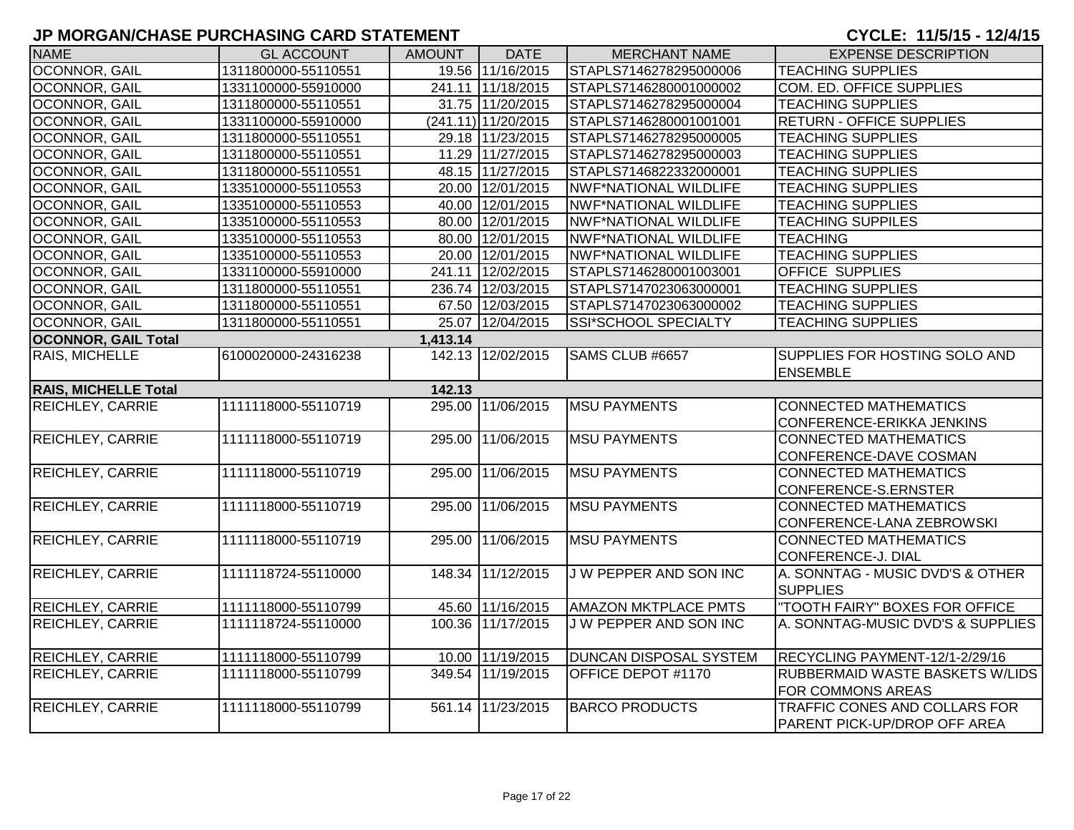| <b>NAME</b>                 | <b>GL ACCOUNT</b>   | <b>AMOUNT</b> | <b>DATE</b>         | <b>MERCHANT NAME</b>         | <b>EXPENSE DESCRIPTION</b>           |
|-----------------------------|---------------------|---------------|---------------------|------------------------------|--------------------------------------|
| <b>OCONNOR, GAIL</b>        | 1311800000-55110551 |               | 19.56 11/16/2015    | STAPLS7146278295000006       | <b>TEACHING SUPPLIES</b>             |
| OCONNOR, GAIL               | 1331100000-55910000 |               | 241.11 11/18/2015   | STAPLS7146280001000002       | <b>COM. ED. OFFICE SUPPLIES</b>      |
| OCONNOR, GAIL               | 1311800000-55110551 |               | 31.75 11/20/2015    | STAPLS7146278295000004       | <b>TEACHING SUPPLIES</b>             |
| OCONNOR, GAIL               | 1331100000-55910000 |               | (241.11) 11/20/2015 | STAPLS7146280001001001       | <b>RETURN - OFFICE SUPPLIES</b>      |
| OCONNOR, GAIL               | 1311800000-55110551 |               | 29.18 11/23/2015    | STAPLS7146278295000005       | <b>TEACHING SUPPLIES</b>             |
| OCONNOR, GAIL               | 1311800000-55110551 |               | 11.29 11/27/2015    | STAPLS7146278295000003       | <b>TEACHING SUPPLIES</b>             |
| OCONNOR, GAIL               | 1311800000-55110551 |               | 48.15 11/27/2015    | STAPLS7146822332000001       | <b>TEACHING SUPPLIES</b>             |
| OCONNOR, GAIL               | 1335100000-55110553 |               | 20.00 12/01/2015    | NWF*NATIONAL WILDLIFE        | <b>TEACHING SUPPLIES</b>             |
| OCONNOR, GAIL               | 1335100000-55110553 |               | 40.00 12/01/2015    | <b>NWF*NATIONAL WILDLIFE</b> | <b>TEACHING SUPPLIES</b>             |
| OCONNOR, GAIL               | 1335100000-55110553 |               | 80.00 12/01/2015    | <b>NWF*NATIONAL WILDLIFE</b> | <b>TEACHING SUPPILES</b>             |
| OCONNOR, GAIL               | 1335100000-55110553 |               | 80.00 12/01/2015    | NWF*NATIONAL WILDLIFE        | <b>TEACHING</b>                      |
| OCONNOR, GAIL               | 1335100000-55110553 |               | 20.00 12/01/2015    | <b>NWF*NATIONAL WILDLIFE</b> | <b>TEACHING SUPPLIES</b>             |
| OCONNOR, GAIL               | 1331100000-55910000 |               | 241.11 12/02/2015   | STAPLS7146280001003001       | <b>OFFICE SUPPLIES</b>               |
| <b>OCONNOR, GAIL</b>        | 1311800000-55110551 |               | 236.74 12/03/2015   | STAPLS7147023063000001       | <b>TEACHING SUPPLIES</b>             |
| <b>OCONNOR, GAIL</b>        | 1311800000-55110551 |               | 67.50 12/03/2015    | STAPLS7147023063000002       | <b>TEACHING SUPPLIES</b>             |
| <b>OCONNOR, GAIL</b>        | 1311800000-55110551 |               | 25.07 12/04/2015    | SSI*SCHOOL SPECIALTY         | <b>TEACHING SUPPLIES</b>             |
| <b>OCONNOR, GAIL Total</b>  |                     | 1,413.14      |                     |                              |                                      |
| RAIS, MICHELLE              | 6100020000-24316238 |               | 142.13 12/02/2015   | SAMS CLUB #6657              | SUPPLIES FOR HOSTING SOLO AND        |
|                             |                     |               |                     |                              | <b>ENSEMBLE</b>                      |
| <b>RAIS, MICHELLE Total</b> |                     | 142.13        |                     |                              |                                      |
| <b>REICHLEY, CARRIE</b>     | 1111118000-55110719 |               | 295.00 11/06/2015   | <b>MSU PAYMENTS</b>          | <b>CONNECTED MATHEMATICS</b>         |
|                             |                     |               |                     |                              | CONFERENCE-ERIKKA JENKINS            |
| <b>REICHLEY, CARRIE</b>     | 1111118000-55110719 |               | 295.00 11/06/2015   | <b>MSU PAYMENTS</b>          | <b>CONNECTED MATHEMATICS</b>         |
|                             |                     |               |                     |                              | CONFERENCE-DAVE COSMAN               |
| <b>REICHLEY, CARRIE</b>     | 1111118000-55110719 |               | 295.00 11/06/2015   | <b>MSU PAYMENTS</b>          | <b>CONNECTED MATHEMATICS</b>         |
|                             |                     |               |                     |                              | CONFERENCE-S.ERNSTER                 |
| <b>REICHLEY, CARRIE</b>     | 1111118000-55110719 |               | 295.00 11/06/2015   | <b>MSU PAYMENTS</b>          | <b>CONNECTED MATHEMATICS</b>         |
|                             |                     |               |                     |                              | CONFERENCE-LANA ZEBROWSKI            |
| <b>REICHLEY, CARRIE</b>     | 1111118000-55110719 |               | 295.00 11/06/2015   | <b>MSU PAYMENTS</b>          | <b>CONNECTED MATHEMATICS</b>         |
|                             |                     |               |                     |                              | CONFERENCE-J. DIAL                   |
| <b>REICHLEY, CARRIE</b>     | 1111118724-55110000 |               | 148.34 11/12/2015   | J W PEPPER AND SON INC       | A. SONNTAG - MUSIC DVD'S & OTHER     |
|                             |                     |               |                     |                              | <b>SUPPLIES</b>                      |
| <b>REICHLEY, CARRIE</b>     | 1111118000-55110799 |               | 45.60 11/16/2015    | <b>AMAZON MKTPLACE PMTS</b>  | "TOOTH FAIRY" BOXES FOR OFFICE       |
| <b>REICHLEY, CARRIE</b>     | 1111118724-55110000 |               | 100.36 11/17/2015   | J W PEPPER AND SON INC       | A. SONNTAG-MUSIC DVD'S & SUPPLIES    |
|                             |                     |               |                     |                              |                                      |
| <b>REICHLEY, CARRIE</b>     | 1111118000-55110799 |               | 10.00 11/19/2015    | DUNCAN DISPOSAL SYSTEM       | RECYCLING PAYMENT-12/1-2/29/16       |
| <b>REICHLEY, CARRIE</b>     | 1111118000-55110799 |               | 349.54 11/19/2015   | OFFICE DEPOT #1170           | RUBBERMAID WASTE BASKETS W/LIDS      |
|                             |                     |               |                     |                              | FOR COMMONS AREAS                    |
| <b>REICHLEY, CARRIE</b>     | 1111118000-55110799 |               | 561.14 11/23/2015   | <b>BARCO PRODUCTS</b>        | TRAFFIC CONES AND COLLARS FOR        |
|                             |                     |               |                     |                              | <b>IPARENT PICK-UP/DROP OFF AREA</b> |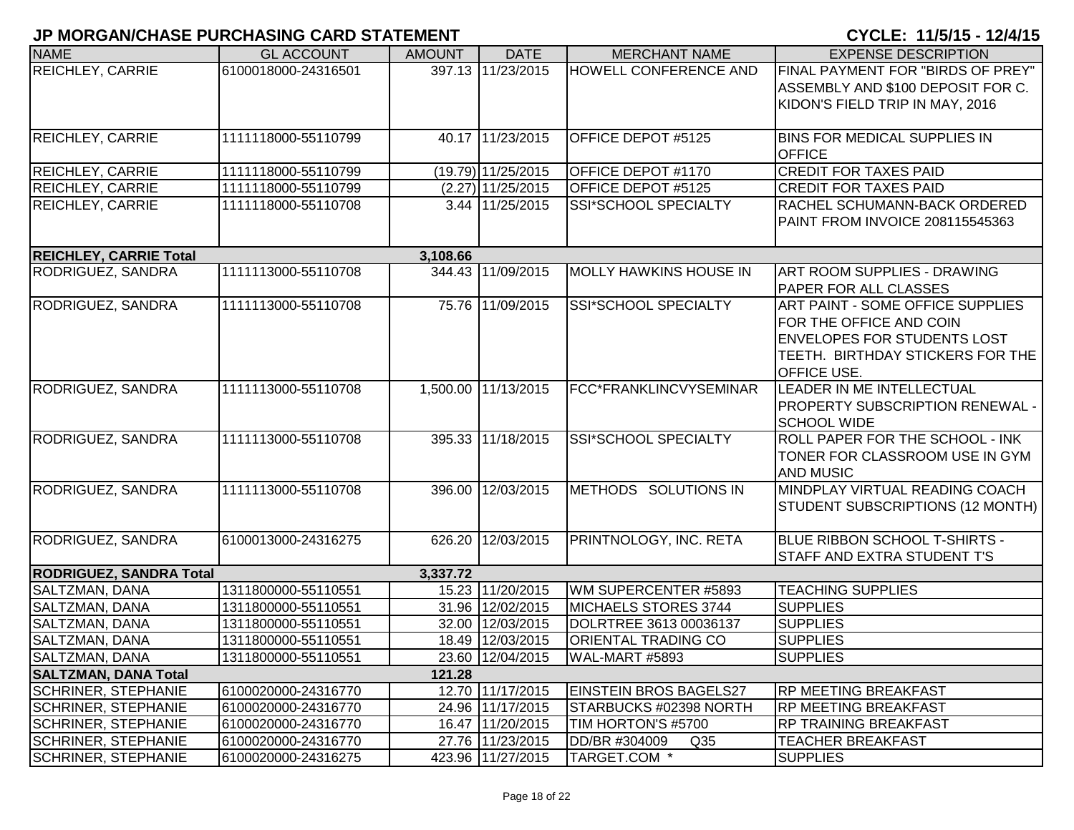| <b>NAME</b>                    | <b>GL ACCOUNT</b>   | <b>AMOUNT</b> | <b>DATE</b>         | <b>MERCHANT NAME</b>             | <b>EXPENSE DESCRIPTION</b>          |
|--------------------------------|---------------------|---------------|---------------------|----------------------------------|-------------------------------------|
| <b>REICHLEY, CARRIE</b>        | 6100018000-24316501 |               | 397.13 11/23/2015   | <b>HOWELL CONFERENCE AND</b>     | FINAL PAYMENT FOR "BIRDS OF PREY"   |
|                                |                     |               |                     |                                  | ASSEMBLY AND \$100 DEPOSIT FOR C.   |
|                                |                     |               |                     |                                  | KIDON'S FIELD TRIP IN MAY, 2016     |
|                                |                     |               |                     |                                  |                                     |
| <b>REICHLEY, CARRIE</b>        | 1111118000-55110799 |               | 40.17 11/23/2015    | OFFICE DEPOT #5125               | <b>BINS FOR MEDICAL SUPPLIES IN</b> |
|                                |                     |               |                     |                                  | <b>OFFICE</b>                       |
| <b>REICHLEY, CARRIE</b>        | 1111118000-55110799 |               | (19.79) 11/25/2015  | OFFICE DEPOT #1170               | <b>CREDIT FOR TAXES PAID</b>        |
| <b>REICHLEY, CARRIE</b>        | 1111118000-55110799 |               | $(2.27)$ 11/25/2015 | OFFICE DEPOT #5125               | <b>CREDIT FOR TAXES PAID</b>        |
| <b>REICHLEY, CARRIE</b>        | 1111118000-55110708 |               | 3.44 11/25/2015     | SSI*SCHOOL SPECIALTY             | RACHEL SCHUMANN-BACK ORDERED        |
|                                |                     |               |                     |                                  | PAINT FROM INVOICE 208115545363     |
|                                |                     |               |                     |                                  |                                     |
| <b>REICHLEY, CARRIE Total</b>  |                     | 3,108.66      |                     |                                  |                                     |
| RODRIGUEZ, SANDRA              | 1111113000-55110708 |               | 344.43 11/09/2015   | <b>MOLLY HAWKINS HOUSE IN</b>    | <b>ART ROOM SUPPLIES - DRAWING</b>  |
|                                |                     |               |                     |                                  | <b>PAPER FOR ALL CLASSES</b>        |
| RODRIGUEZ, SANDRA              | 1111113000-55110708 |               | 75.76 11/09/2015    | SSI*SCHOOL SPECIALTY             | ART PAINT - SOME OFFICE SUPPLIES    |
|                                |                     |               |                     |                                  | FOR THE OFFICE AND COIN             |
|                                |                     |               |                     |                                  | <b>ENVELOPES FOR STUDENTS LOST</b>  |
|                                |                     |               |                     |                                  | TEETH. BIRTHDAY STICKERS FOR THE    |
|                                |                     |               |                     |                                  | <b>OFFICE USE.</b>                  |
| RODRIGUEZ, SANDRA              | 1111113000-55110708 |               | 1,500.00 11/13/2015 | FCC*FRANKLINCVYSEMINAR           | LEADER IN ME INTELLECTUAL           |
|                                |                     |               |                     |                                  | PROPERTY SUBSCRIPTION RENEWAL -     |
|                                |                     |               |                     |                                  | <b>SCHOOL WIDE</b>                  |
| RODRIGUEZ, SANDRA              | 1111113000-55110708 |               | 395.33 11/18/2015   | SSI*SCHOOL SPECIALTY             | ROLL PAPER FOR THE SCHOOL - INK     |
|                                |                     |               |                     |                                  | TONER FOR CLASSROOM USE IN GYM      |
|                                |                     |               |                     |                                  | <b>AND MUSIC</b>                    |
| <b>RODRIGUEZ, SANDRA</b>       | 1111113000-55110708 |               | 396.00 12/03/2015   | METHODS SOLUTIONS IN             | MINDPLAY VIRTUAL READING COACH      |
|                                |                     |               |                     |                                  | STUDENT SUBSCRIPTIONS (12 MONTH)    |
|                                |                     |               |                     |                                  |                                     |
| RODRIGUEZ, SANDRA              | 6100013000-24316275 | 626.20        | 12/03/2015          | PRINTNOLOGY, INC. RETA           | BLUE RIBBON SCHOOL T-SHIRTS -       |
|                                |                     |               |                     |                                  | STAFF AND EXTRA STUDENT T'S         |
| <b>RODRIGUEZ, SANDRA Total</b> |                     | 3,337.72      |                     |                                  |                                     |
| SALTZMAN, DANA                 | 1311800000-55110551 |               | 15.23 11/20/2015    | WM SUPERCENTER #5893             | <b>TEACHING SUPPLIES</b>            |
| SALTZMAN, DANA                 | 1311800000-55110551 |               | 31.96 12/02/2015    | MICHAELS STORES 3744             | <b>SUPPLIES</b>                     |
| SALTZMAN, DANA                 | 1311800000-55110551 |               | 32.00 12/03/2015    | DOLRTREE 3613 00036137           | <b>SUPPLIES</b>                     |
| SALTZMAN, DANA                 | 1311800000-55110551 |               | 18.49 12/03/2015    | <b>ORIENTAL TRADING CO</b>       | <b>SUPPLIES</b>                     |
| SALTZMAN, DANA                 | 1311800000-55110551 |               | 23.60 12/04/2015    | WAL-MART #5893                   | <b>SUPPLIES</b>                     |
| <b>SALTZMAN, DANA Total</b>    |                     | 121.28        |                     |                                  |                                     |
| <b>SCHRINER, STEPHANIE</b>     | 6100020000-24316770 |               | 12.70 11/17/2015    | <b>EINSTEIN BROS BAGELS27</b>    | <b>RP MEETING BREAKFAST</b>         |
| <b>SCHRINER, STEPHANIE</b>     | 6100020000-24316770 |               | 24.96 11/17/2015    | STARBUCKS #02398 NORTH           | <b>RP MEETING BREAKFAST</b>         |
| <b>SCHRINER, STEPHANIE</b>     | 6100020000-24316770 |               | 16.47 11/20/2015    | TIM HORTON'S #5700               | <b>RP TRAINING BREAKFAST</b>        |
| SCHRINER, STEPHANIE            | 6100020000-24316770 |               | 27.76 11/23/2015    | DD/BR #304009<br>Q <sub>35</sub> | <b>TEACHER BREAKFAST</b>            |
| <b>SCHRINER, STEPHANIE</b>     | 6100020000-24316275 |               | 423.96 11/27/2015   | TARGET.COM *                     | <b>SUPPLIES</b>                     |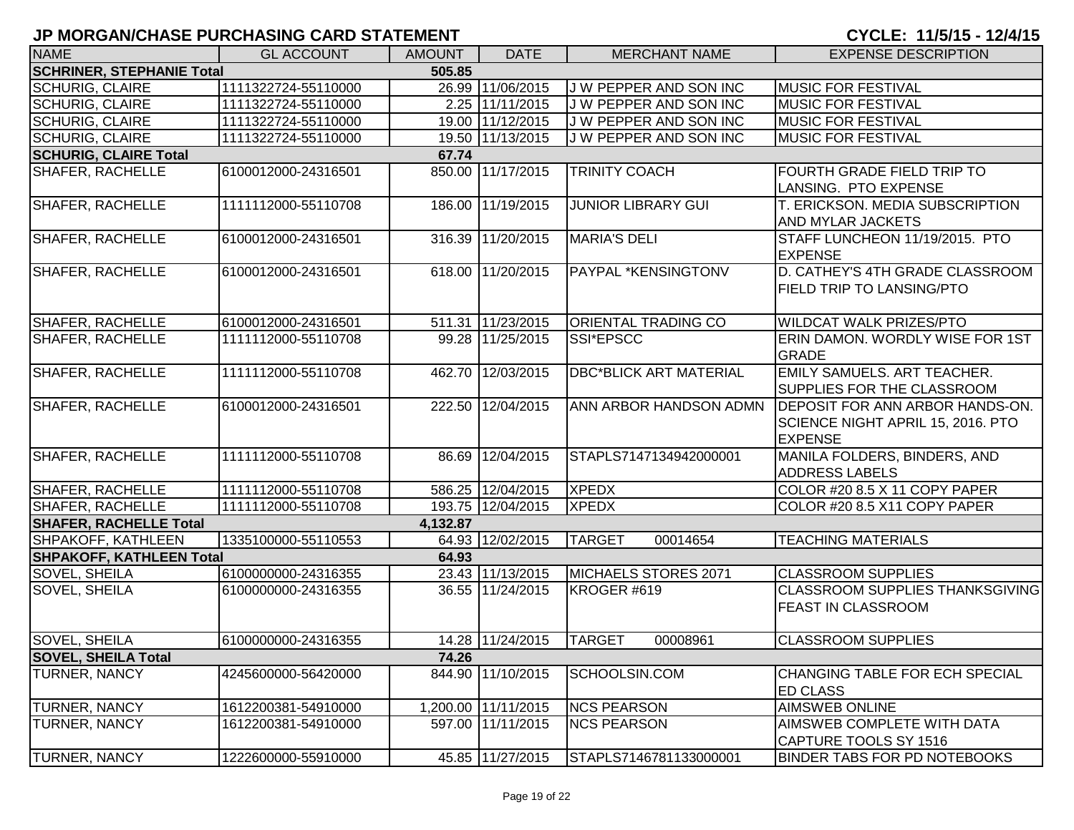| <b>NAME</b>                      | <b>GL ACCOUNT</b>   | <b>AMOUNT</b> | <b>DATE</b>         | <b>MERCHANT NAME</b>          | <b>EXPENSE DESCRIPTION</b>                                                             |
|----------------------------------|---------------------|---------------|---------------------|-------------------------------|----------------------------------------------------------------------------------------|
| <b>SCHRINER, STEPHANIE Total</b> |                     | 505.85        |                     |                               |                                                                                        |
| <b>SCHURIG, CLAIRE</b>           | 1111322724-55110000 |               | 26.99 11/06/2015    | J W PEPPER AND SON INC        | <b>MUSIC FOR FESTIVAL</b>                                                              |
| <b>SCHURIG, CLAIRE</b>           | 1111322724-55110000 |               | 2.25 11/11/2015     | J W PEPPER AND SON INC        | MUSIC FOR FESTIVAL                                                                     |
| <b>SCHURIG, CLAIRE</b>           | 1111322724-55110000 |               | 19.00 11/12/2015    | J W PEPPER AND SON INC        | <b>MUSIC FOR FESTIVAL</b>                                                              |
| <b>SCHURIG, CLAIRE</b>           | 1111322724-55110000 |               | 19.50 11/13/2015    | J W PEPPER AND SON INC        | <b>MUSIC FOR FESTIVAL</b>                                                              |
| <b>SCHURIG, CLAIRE Total</b>     |                     | 67.74         |                     |                               |                                                                                        |
| <b>SHAFER, RACHELLE</b>          | 6100012000-24316501 |               | 850.00 11/17/2015   | <b>TRINITY COACH</b>          | <b>FOURTH GRADE FIELD TRIP TO</b><br>LANSING. PTO EXPENSE                              |
| SHAFER, RACHELLE                 | 1111112000-55110708 |               | 186.00 11/19/2015   | <b>JUNIOR LIBRARY GUI</b>     | <b>T. ERICKSON. MEDIA SUBSCRIPTION</b><br><b>AND MYLAR JACKETS</b>                     |
| <b>SHAFER, RACHELLE</b>          | 6100012000-24316501 |               | 316.39 11/20/2015   | <b>MARIA'S DELI</b>           | STAFF LUNCHEON 11/19/2015. PTO<br><b>EXPENSE</b>                                       |
| SHAFER, RACHELLE                 | 6100012000-24316501 |               | 618.00 11/20/2015   | PAYPAL *KENSINGTONV           | D. CATHEY'S 4TH GRADE CLASSROOM<br><b>FIELD TRIP TO LANSING/PTO</b>                    |
| <b>SHAFER, RACHELLE</b>          | 6100012000-24316501 |               | 511.31 11/23/2015   | <b>ORIENTAL TRADING CO</b>    | <b>WILDCAT WALK PRIZES/PTO</b>                                                         |
| <b>SHAFER, RACHELLE</b>          | 1111112000-55110708 |               | 99.28 11/25/2015    | SSI*EPSCC                     | ERIN DAMON. WORDLY WISE FOR 1ST<br><b>GRADE</b>                                        |
| <b>SHAFER, RACHELLE</b>          | 1111112000-55110708 |               | 462.70 12/03/2015   | <b>DBC*BLICK ART MATERIAL</b> | <b>EMILY SAMUELS. ART TEACHER.</b><br><b>SUPPLIES FOR THE CLASSROOM</b>                |
| <b>SHAFER, RACHELLE</b>          | 6100012000-24316501 |               | 222.50 12/04/2015   | ANN ARBOR HANDSON ADMN        | DEPOSIT FOR ANN ARBOR HANDS-ON.<br>SCIENCE NIGHT APRIL 15, 2016. PTO<br><b>EXPENSE</b> |
| SHAFER, RACHELLE                 | 1111112000-55110708 |               | 86.69 12/04/2015    | STAPLS7147134942000001        | MANILA FOLDERS, BINDERS, AND<br><b>ADDRESS LABELS</b>                                  |
| <b>SHAFER, RACHELLE</b>          | 1111112000-55110708 |               | 586.25 12/04/2015   | <b>XPEDX</b>                  | COLOR #20 8.5 X 11 COPY PAPER                                                          |
| <b>SHAFER, RACHELLE</b>          | 1111112000-55110708 |               | 193.75 12/04/2015   | <b>XPEDX</b>                  | COLOR #20 8.5 X11 COPY PAPER                                                           |
| <b>SHAFER, RACHELLE Total</b>    |                     | 4,132.87      |                     |                               |                                                                                        |
| SHPAKOFF, KATHLEEN               | 1335100000-55110553 |               | 64.93 12/02/2015    | <b>TARGET</b><br>00014654     | <b>TEACHING MATERIALS</b>                                                              |
| <b>SHPAKOFF, KATHLEEN Total</b>  |                     | 64.93         |                     |                               |                                                                                        |
| SOVEL, SHEILA                    | 6100000000-24316355 |               | 23.43 11/13/2015    | MICHAELS STORES 2071          | <b>CLASSROOM SUPPLIES</b>                                                              |
| <b>SOVEL, SHEILA</b>             | 6100000000-24316355 |               | 36.55 11/24/2015    | KROGER #619                   | CLASSROOM SUPPLIES THANKSGIVING<br><b>FEAST IN CLASSROOM</b>                           |
| SOVEL, SHEILA                    | 6100000000-24316355 |               | 14.28 11/24/2015    | <b>TARGET</b><br>00008961     | <b>CLASSROOM SUPPLIES</b>                                                              |
| <b>SOVEL, SHEILA Total</b>       |                     | 74.26         |                     |                               |                                                                                        |
| <b>TURNER, NANCY</b>             | 4245600000-56420000 | 844.90        | 11/10/2015          | SCHOOLSIN.COM                 | CHANGING TABLE FOR ECH SPECIAL<br><b>ED CLASS</b>                                      |
| <b>TURNER, NANCY</b>             | 1612200381-54910000 |               | 1,200.00 11/11/2015 | <b>NCS PEARSON</b>            | <b>AIMSWEB ONLINE</b>                                                                  |
| <b>TURNER, NANCY</b>             | 1612200381-54910000 |               | 597.00 11/11/2015   | <b>NCS PEARSON</b>            | AIMSWEB COMPLETE WITH DATA<br>CAPTURE TOOLS SY 1516                                    |
| <b>TURNER, NANCY</b>             | 1222600000-55910000 |               | 45.85 11/27/2015    | STAPLS7146781133000001        | <b>BINDER TABS FOR PD NOTEBOOKS</b>                                                    |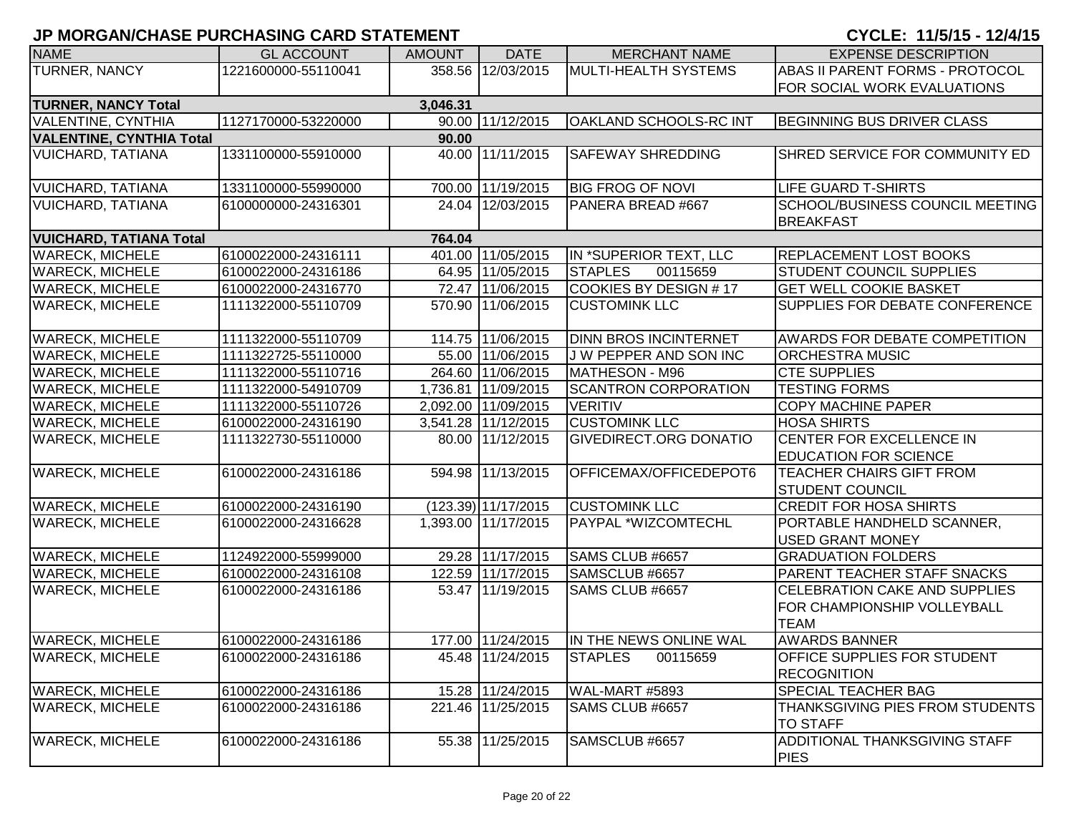| <b>NAME</b>                     | <b>GL ACCOUNT</b>   | <b>AMOUNT</b> | <b>DATE</b>           | <b>MERCHANT NAME</b>          | <b>EXPENSE DESCRIPTION</b>             |
|---------------------------------|---------------------|---------------|-----------------------|-------------------------------|----------------------------------------|
| <b>TURNER, NANCY</b>            | 1221600000-55110041 |               | 358.56 12/03/2015     | MULTI-HEALTH SYSTEMS          | ABAS II PARENT FORMS - PROTOCOL        |
|                                 |                     |               |                       |                               | FOR SOCIAL WORK EVALUATIONS            |
| <b>TURNER, NANCY Total</b>      |                     | 3,046.31      |                       |                               |                                        |
| <b>VALENTINE, CYNTHIA</b>       | 1127170000-53220000 |               | 90.00 11/12/2015      | <b>OAKLAND SCHOOLS-RC INT</b> | BEGINNING BUS DRIVER CLASS             |
| <b>VALENTINE, CYNTHIA Total</b> |                     | 90.00         |                       |                               |                                        |
| <b>VUICHARD, TATIANA</b>        | 1331100000-55910000 |               | 40.00 11/11/2015      | <b>SAFEWAY SHREDDING</b>      | SHRED SERVICE FOR COMMUNITY ED         |
| <b>VUICHARD, TATIANA</b>        | 1331100000-55990000 |               | 700.00 11/19/2015     | <b>BIG FROG OF NOVI</b>       | <b>LIFE GUARD T-SHIRTS</b>             |
| <b>VUICHARD, TATIANA</b>        | 6100000000-24316301 |               | 24.04 12/03/2015      | PANERA BREAD #667             | <b>SCHOOL/BUSINESS COUNCIL MEETING</b> |
|                                 |                     |               |                       |                               | <b>BREAKFAST</b>                       |
| <b>VUICHARD, TATIANA Total</b>  |                     | 764.04        |                       |                               |                                        |
| <b>WARECK, MICHELE</b>          | 6100022000-24316111 |               | 401.00 11/05/2015     | IN *SUPERIOR TEXT, LLC        | <b>REPLACEMENT LOST BOOKS</b>          |
| <b>WARECK, MICHELE</b>          | 6100022000-24316186 |               | 64.95 11/05/2015      | <b>STAPLES</b><br>00115659    | <b>STUDENT COUNCIL SUPPLIES</b>        |
| <b>WARECK, MICHELE</b>          | 6100022000-24316770 |               | 72.47 11/06/2015      | COOKIES BY DESIGN #17         | <b>GET WELL COOKIE BASKET</b>          |
| <b>WARECK, MICHELE</b>          | 1111322000-55110709 |               | 570.90 11/06/2015     | <b>CUSTOMINK LLC</b>          | SUPPLIES FOR DEBATE CONFERENCE         |
|                                 |                     |               |                       |                               |                                        |
| <b>WARECK, MICHELE</b>          | 1111322000-55110709 |               | 114.75 11/06/2015     | <b>DINN BROS INCINTERNET</b>  | <b>AWARDS FOR DEBATE COMPETITION</b>   |
| <b>WARECK, MICHELE</b>          | 1111322725-55110000 |               | 55.00 11/06/2015      | <b>JW PEPPER AND SON INC</b>  | <b>ORCHESTRA MUSIC</b>                 |
| <b>WARECK, MICHELE</b>          | 1111322000-55110716 |               | 264.60 11/06/2015     | MATHESON - M96                | <b>CTE SUPPLIES</b>                    |
| <b>WARECK, MICHELE</b>          | 1111322000-54910709 |               | 1,736.81 11/09/2015   | <b>SCANTRON CORPORATION</b>   | <b>TESTING FORMS</b>                   |
| <b>WARECK, MICHELE</b>          | 1111322000-55110726 |               | 2,092.00 11/09/2015   | <b>VERITIV</b>                | <b>COPY MACHINE PAPER</b>              |
| <b>WARECK, MICHELE</b>          | 6100022000-24316190 |               | 3,541.28 11/12/2015   | <b>CUSTOMINK LLC</b>          | <b>HOSA SHIRTS</b>                     |
| <b>WARECK, MICHELE</b>          | 1111322730-55110000 |               | 80.00 11/12/2015      | <b>GIVEDIRECT.ORG DONATIO</b> | <b>CENTER FOR EXCELLENCE IN</b>        |
|                                 |                     |               |                       |                               | <b>EDUCATION FOR SCIENCE</b>           |
| <b>WARECK, MICHELE</b>          | 6100022000-24316186 |               | 594.98 11/13/2015     | OFFICEMAX/OFFICEDEPOT6        | <b>TEACHER CHAIRS GIFT FROM</b>        |
|                                 |                     |               |                       |                               | <b>STUDENT COUNCIL</b>                 |
| <b>WARECK, MICHELE</b>          | 6100022000-24316190 |               | $(123.39)$ 11/17/2015 | <b>CUSTOMINK LLC</b>          | <b>CREDIT FOR HOSA SHIRTS</b>          |
| <b>WARECK, MICHELE</b>          | 6100022000-24316628 |               | 1,393.00 11/17/2015   | PAYPAL *WIZCOMTECHL           | PORTABLE HANDHELD SCANNER,             |
|                                 |                     |               |                       |                               | <b>USED GRANT MONEY</b>                |
| <b>WARECK, MICHELE</b>          | 1124922000-55999000 |               | 29.28 11/17/2015      | SAMS CLUB #6657               | <b>GRADUATION FOLDERS</b>              |
| <b>WARECK, MICHELE</b>          | 6100022000-24316108 |               | 122.59 11/17/2015     | SAMSCLUB #6657                | PARENT TEACHER STAFF SNACKS            |
| <b>WARECK, MICHELE</b>          | 6100022000-24316186 |               | 53.47 11/19/2015      | SAMS CLUB #6657               | CELEBRATION CAKE AND SUPPLIES          |
|                                 |                     |               |                       |                               | FOR CHAMPIONSHIP VOLLEYBALL            |
|                                 |                     |               |                       |                               | <b>TEAM</b>                            |
| <b>WARECK, MICHELE</b>          | 6100022000-24316186 |               | 177.00 11/24/2015     | IN THE NEWS ONLINE WAL        | <b>AWARDS BANNER</b>                   |
| <b>WARECK, MICHELE</b>          | 6100022000-24316186 |               | 45.48 11/24/2015      | <b>STAPLES</b><br>00115659    | <b>OFFICE SUPPLIES FOR STUDENT</b>     |
|                                 |                     |               |                       |                               | <b>RECOGNITION</b>                     |
| <b>WARECK, MICHELE</b>          | 6100022000-24316186 |               | 15.28 11/24/2015      | WAL-MART #5893                | <b>SPECIAL TEACHER BAG</b>             |
| <b>WARECK, MICHELE</b>          | 6100022000-24316186 |               | 221.46 11/25/2015     | SAMS CLUB #6657               | THANKSGIVING PIES FROM STUDENTS        |
|                                 |                     |               |                       |                               | <b>TO STAFF</b>                        |
| <b>WARECK, MICHELE</b>          | 6100022000-24316186 |               | 55.38 11/25/2015      | SAMSCLUB #6657                | <b>ADDITIONAL THANKSGIVING STAFF</b>   |
|                                 |                     |               |                       |                               | <b>PIES</b>                            |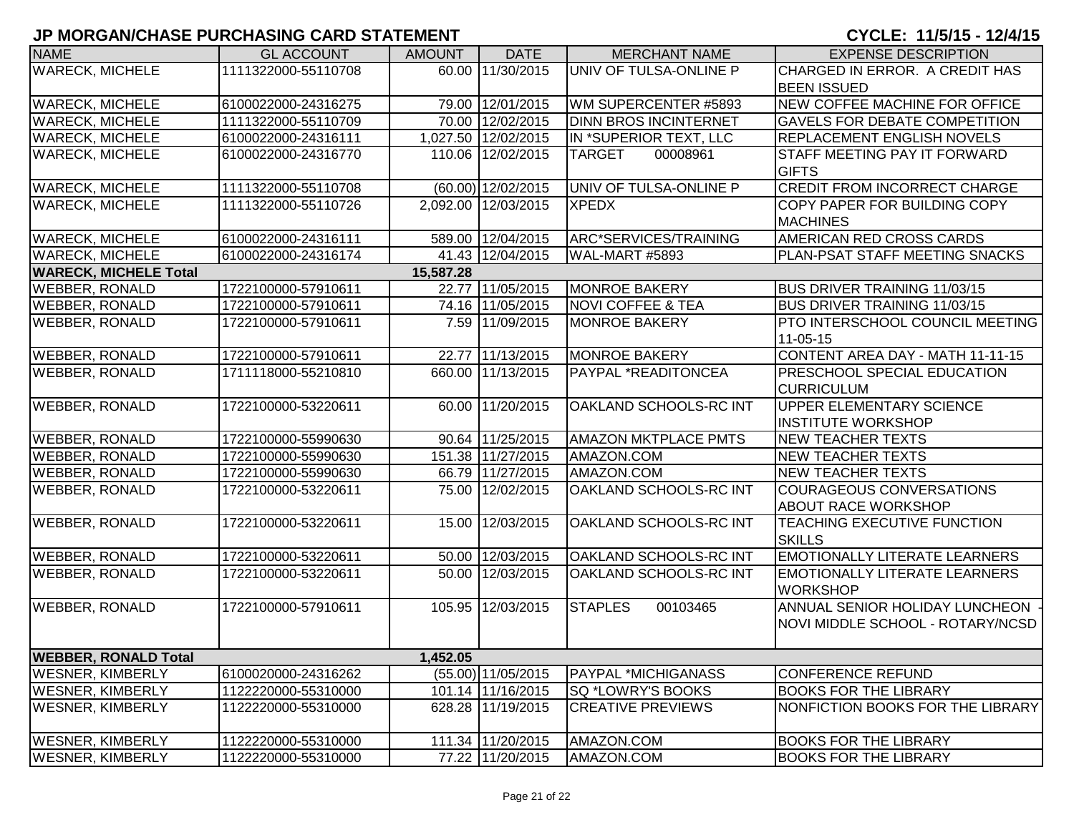# **JP MORGAN/CHASE PURCHASING CARD STATEMENT CYCLE: 11/5/15 - 12/4/15**

| <b>NAME</b>                  | <b>GL ACCOUNT</b>   | <b>AMOUNT</b> | <b>DATE</b>          | <b>MERCHANT NAME</b>         | <b>EXPENSE DESCRIPTION</b>           |
|------------------------------|---------------------|---------------|----------------------|------------------------------|--------------------------------------|
| <b>WARECK, MICHELE</b>       | 1111322000-55110708 |               | 60.00 11/30/2015     | UNIV OF TULSA-ONLINE P       | CHARGED IN ERROR. A CREDIT HAS       |
|                              |                     |               |                      |                              | <b>BEEN ISSUED</b>                   |
| <b>WARECK, MICHELE</b>       | 6100022000-24316275 |               | 79.00 12/01/2015     | WM SUPERCENTER #5893         | NEW COFFEE MACHINE FOR OFFICE        |
| <b>WARECK, MICHELE</b>       | 1111322000-55110709 |               | 70.00 12/02/2015     | <b>DINN BROS INCINTERNET</b> | <b>GAVELS FOR DEBATE COMPETITION</b> |
| <b>WARECK, MICHELE</b>       | 6100022000-24316111 |               | 1,027.50 12/02/2015  | IN *SUPERIOR TEXT, LLC       | REPLACEMENT ENGLISH NOVELS           |
| <b>WARECK, MICHELE</b>       | 6100022000-24316770 |               | 110.06 12/02/2015    | <b>TARGET</b><br>00008961    | STAFF MEETING PAY IT FORWARD         |
|                              |                     |               |                      |                              | <b>GIFTS</b>                         |
| <b>WARECK, MICHELE</b>       | 1111322000-55110708 |               | (60.00) 12/02/2015   | UNIV OF TULSA-ONLINE P       | <b>CREDIT FROM INCORRECT CHARGE</b>  |
| <b>WARECK, MICHELE</b>       | 1111322000-55110726 |               | 2.092.00 12/03/2015  | <b>XPEDX</b>                 | COPY PAPER FOR BUILDING COPY         |
|                              |                     |               |                      |                              | <b>MACHINES</b>                      |
| <b>WARECK, MICHELE</b>       | 6100022000-24316111 |               | 589.00 12/04/2015    | ARC*SERVICES/TRAINING        | AMERICAN RED CROSS CARDS             |
| <b>WARECK, MICHELE</b>       | 6100022000-24316174 |               | 41.43 12/04/2015     | WAL-MART #5893               | PLAN-PSAT STAFF MEETING SNACKS       |
| <b>WARECK, MICHELE Total</b> |                     | 15,587.28     |                      |                              |                                      |
| <b>WEBBER, RONALD</b>        | 1722100000-57910611 |               | 22.77 11/05/2015     | <b>MONROE BAKERY</b>         | <b>BUS DRIVER TRAINING 11/03/15</b>  |
| <b>WEBBER, RONALD</b>        | 1722100000-57910611 |               | 74.16 11/05/2015     | <b>NOVI COFFEE &amp; TEA</b> | <b>BUS DRIVER TRAINING 11/03/15</b>  |
| <b>WEBBER, RONALD</b>        | 1722100000-57910611 |               | 7.59 11/09/2015      | <b>MONROE BAKERY</b>         | PTO INTERSCHOOL COUNCIL MEETING      |
|                              |                     |               |                      |                              | 11-05-15                             |
| <b>WEBBER, RONALD</b>        | 1722100000-57910611 |               | 22.77 11/13/2015     | <b>MONROE BAKERY</b>         | CONTENT AREA DAY - MATH 11-11-15     |
| <b>WEBBER, RONALD</b>        | 1711118000-55210810 |               | 660.00 11/13/2015    | PAYPAL *READITONCEA          | PRESCHOOL SPECIAL EDUCATION          |
|                              |                     |               |                      |                              | <b>CURRICULUM</b>                    |
| <b>WEBBER, RONALD</b>        | 1722100000-53220611 |               | 60.00 11/20/2015     | OAKLAND SCHOOLS-RC INT       | <b>UPPER ELEMENTARY SCIENCE</b>      |
|                              |                     |               |                      |                              | <b>INSTITUTE WORKSHOP</b>            |
| <b>WEBBER, RONALD</b>        | 1722100000-55990630 |               | 90.64 11/25/2015     | <b>AMAZON MKTPLACE PMTS</b>  | <b>NEW TEACHER TEXTS</b>             |
| <b>WEBBER, RONALD</b>        | 1722100000-55990630 |               | 151.38 11/27/2015    | AMAZON.COM                   | <b>NEW TEACHER TEXTS</b>             |
| <b>WEBBER, RONALD</b>        | 1722100000-55990630 |               | 66.79 11/27/2015     | AMAZON.COM                   | <b>NEW TEACHER TEXTS</b>             |
| <b>WEBBER, RONALD</b>        | 1722100000-53220611 |               | 75.00 12/02/2015     | OAKLAND SCHOOLS-RC INT       | <b>COURAGEOUS CONVERSATIONS</b>      |
|                              |                     |               |                      |                              | <b>ABOUT RACE WORKSHOP</b>           |
| <b>WEBBER, RONALD</b>        | 1722100000-53220611 |               | 15.00 12/03/2015     | OAKLAND SCHOOLS-RC INT       | TEACHING EXECUTIVE FUNCTION          |
|                              |                     |               |                      |                              | <b>SKILLS</b>                        |
| <b>WEBBER, RONALD</b>        | 1722100000-53220611 |               | 50.00 12/03/2015     | OAKLAND SCHOOLS-RC INT       | <b>EMOTIONALLY LITERATE LEARNERS</b> |
| <b>WEBBER, RONALD</b>        | 1722100000-53220611 |               | 50.00 12/03/2015     | OAKLAND SCHOOLS-RC INT       | <b>EMOTIONALLY LITERATE LEARNERS</b> |
|                              |                     |               |                      |                              | <b>WORKSHOP</b>                      |
| <b>WEBBER, RONALD</b>        | 1722100000-57910611 |               | 105.95 12/03/2015    | <b>STAPLES</b><br>00103465   | ANNUAL SENIOR HOLIDAY LUNCHEON       |
|                              |                     |               |                      |                              | NOVI MIDDLE SCHOOL - ROTARY/NCSD     |
|                              |                     |               |                      |                              |                                      |
| <b>WEBBER, RONALD Total</b>  |                     | 1,452.05      |                      |                              |                                      |
| <b>WESNER, KIMBERLY</b>      | 6100020000-24316262 |               | $(55.00)$ 11/05/2015 | PAYPAL *MICHIGANASS          | <b>CONFERENCE REFUND</b>             |
| <b>WESNER, KIMBERLY</b>      | 1122220000-55310000 |               | 101.14 11/16/2015    | SQ *LOWRY'S BOOKS            | <b>BOOKS FOR THE LIBRARY</b>         |
| <b>WESNER, KIMBERLY</b>      | 1122220000-55310000 |               | 628.28 11/19/2015    | <b>CREATIVE PREVIEWS</b>     | NONFICTION BOOKS FOR THE LIBRARY     |
|                              |                     |               |                      |                              |                                      |
| <b>WESNER, KIMBERLY</b>      | 1122220000-55310000 |               | 111.34 11/20/2015    | AMAZON.COM                   | <b>BOOKS FOR THE LIBRARY</b>         |
| <b>WESNER, KIMBERLY</b>      | 1122220000-55310000 |               | 77.22 11/20/2015     | AMAZON.COM                   | <b>BOOKS FOR THE LIBRARY</b>         |